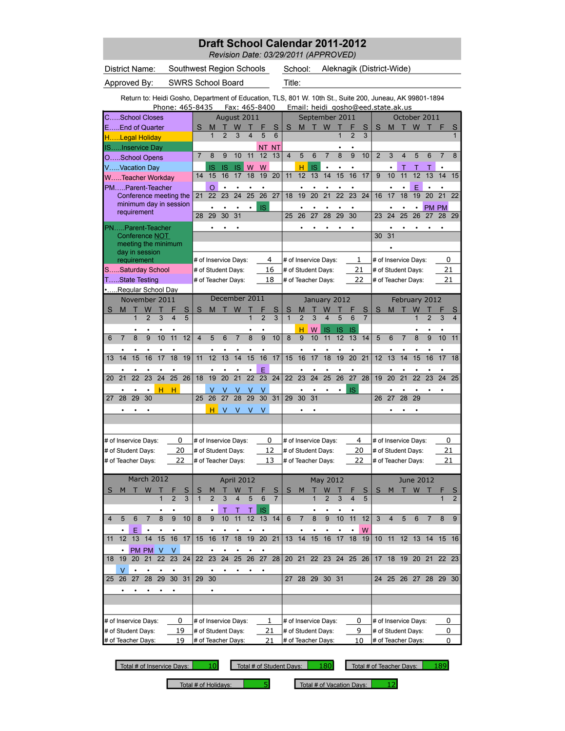|                |               |                |                                                  |                |                 |                          |                   |                     |                 |                                          |                         |                 |                     | <b>Draft School Calendar 2011-2012</b><br>Revision Date: 03/29/2011 (APPROVED)                          |                |                                          |                     |          |                 |                |                |                           |                |                                          |                |                |                                |
|----------------|---------------|----------------|--------------------------------------------------|----------------|-----------------|--------------------------|-------------------|---------------------|-----------------|------------------------------------------|-------------------------|-----------------|---------------------|---------------------------------------------------------------------------------------------------------|----------------|------------------------------------------|---------------------|----------|-----------------|----------------|----------------|---------------------------|----------------|------------------------------------------|----------------|----------------|--------------------------------|
|                |               |                | District Name:                                   |                |                 | Southwest Region Schools |                   |                     |                 |                                          |                         |                 |                     |                                                                                                         | School:        |                                          |                     |          |                 |                |                | Aleknagik (District-Wide) |                |                                          |                |                |                                |
|                | Approved By:  |                |                                                  |                |                 | <b>SWRS School Board</b> |                   |                     |                 |                                          |                         |                 |                     | Title:                                                                                                  |                |                                          |                     |          |                 |                |                |                           |                |                                          |                |                |                                |
|                |               |                |                                                  |                |                 |                          |                   |                     |                 |                                          |                         |                 |                     | Return to: Heidi Gosho, Department of Education, TLS, 801 W. 10th St., Suite 200, Juneau, AK 99801-1894 |                |                                          |                     |          |                 |                |                |                           |                |                                          |                |                |                                |
|                |               |                |                                                  |                |                 | Phone: 465-8435          |                   |                     |                 | Fax: 465-8400                            |                         |                 |                     |                                                                                                         |                | Email: heidi_gosho@eed.state.ak.us       |                     |          |                 |                |                |                           |                |                                          |                |                |                                |
|                |               |                | CSchool Closes<br>EEnd of Quarter                |                |                 |                          | S                 | м                   |                 | August 2011<br>W                         |                         |                 | S                   | S                                                                                                       | M              | September 2011                           | W                   |          | F               | S              | S              | M                         |                | October 2011<br>W                        |                |                |                                |
|                |               |                | HLegal Holiday                                   |                |                 |                          |                   | 1                   | $\overline{2}$  | 3                                        | $\overline{\mathbf{4}}$ | 5               | 6                   |                                                                                                         |                |                                          |                     | 1        | $\overline{2}$  | 3              |                |                           |                |                                          |                |                |                                |
|                |               |                | ISInservice Day                                  |                |                 |                          | $\overline{7}$    | 8                   | 9               | 10                                       | 11                      | 12              | NT NT<br>13         | $\overline{4}$                                                                                          | 5              | 6                                        | $\overline{7}$      | 8        | 9               | 10             | $\overline{2}$ | 3                         | $\overline{4}$ | 5                                        | 6              | $\overline{7}$ | 8                              |
|                |               |                | OSchool Opens<br>VVacation Day                   |                |                 |                          |                   | IS                  | <b>IS</b>       | <b>IS</b>                                | W                       | W               |                     |                                                                                                         | н              | IS                                       | ٠                   | ٠        |                 |                |                |                           | т              | Τ                                        | т              | $\bullet$      |                                |
|                |               |                | WTeacher Workday                                 |                |                 |                          | 14                | 15                  | 16              | 17                                       | 18                      | 19              | 20                  | 11                                                                                                      | 12             | 13                                       | 14                  | 15       | 16              | 17             | 9              | 10                        | 11             | 12                                       | 13             | 14             | 15                             |
|                |               |                | PMParent-Teacher                                 |                |                 |                          | 21                | O<br>22             | 23              | $\bullet$<br>24                          | 25                      | 26              | 27                  | 18                                                                                                      | 19             | 20                                       | 21                  | 22       | 23              | 24             | 16             | 17                        | 18             | E<br>19                                  | 20             | 21             | 22                             |
|                |               |                | Conference meeting the<br>minimum day in session |                |                 |                          |                   |                     |                 |                                          |                         | <b>IS</b>       |                     |                                                                                                         |                |                                          |                     |          |                 |                |                |                           |                | $\bullet$                                |                | <b>PM PM</b>   |                                |
|                |               |                | requirement                                      |                |                 |                          | 28                | 29                  | 30              | 31                                       |                         |                 |                     | 25                                                                                                      | 26             | 27                                       | 28                  | 29       | 30              |                | 23             | 24                        | 25             | 26                                       | 27             | 28             | 29                             |
|                |               |                | PNParent-Teacher                                 |                |                 |                          |                   |                     |                 | ٠                                        |                         |                 |                     |                                                                                                         |                |                                          |                     |          |                 |                | 30             | ٠<br>31                   |                |                                          |                |                |                                |
|                |               |                | Conference NOT<br>meeting the minimum            |                |                 |                          |                   |                     |                 |                                          |                         |                 |                     |                                                                                                         |                |                                          |                     |          |                 |                |                |                           |                |                                          |                |                |                                |
|                |               |                | day in session<br>requirement                    |                |                 |                          |                   |                     |                 | # of Inservice Days:                     |                         |                 | 4                   |                                                                                                         |                | # of Inservice Days:                     |                     |          |                 | 1              |                |                           |                | # of Inservice Days:                     |                | 0              |                                |
|                |               |                | SSaturday School                                 |                |                 |                          |                   |                     |                 | # of Student Days:                       |                         |                 | 16                  |                                                                                                         |                | # of Student Days:                       |                     |          |                 | 21             |                |                           |                | # of Student Days:                       |                |                | 21                             |
|                |               |                | TState Testing                                   |                |                 |                          |                   |                     |                 | # of Teacher Days:                       |                         |                 | 18                  |                                                                                                         |                | # of Teacher Days:                       |                     |          |                 | 22             |                |                           |                | # of Teacher Days:                       |                | 21             |                                |
|                |               |                | Regular School Day<br>November 2011              |                |                 |                          |                   |                     |                 | December 2011                            |                         |                 |                     |                                                                                                         |                | January 2012                             |                     |          |                 |                |                |                           |                | February 2012                            |                |                |                                |
| S              | м             |                | W                                                |                |                 | S                        | S                 | M                   | т               | W                                        |                         |                 | S                   | S                                                                                                       | M              |                                          | W                   |          |                 | S              | S              | м                         |                | W                                        |                |                |                                |
|                |               | $\mathbf{1}$   | $\overline{2}$                                   | 3              | 4               | 5                        |                   |                     |                 |                                          | $\overline{1}$          |                 | 3                   | $\mathbf{1}$                                                                                            | $\overline{2}$ | 3                                        | 4                   | 5        | 6               | $\overline{7}$ |                |                           |                |                                          | $\overline{2}$ | 3              |                                |
| 6              | 7             | 8              | 9                                                | 10             | 11              | 12                       | $\overline{4}$    | 5                   | 6               | $\overline{7}$                           | 8                       | 9               | 10                  | 8                                                                                                       | н<br>9         | W<br>10                                  | IS<br>11            | IS<br>12 | IS<br>13        | 14             | 5              | 6                         | $\overline{7}$ | 8                                        | 9              | 10             | 11                             |
|                |               |                |                                                  |                |                 |                          |                   |                     |                 |                                          |                         |                 |                     |                                                                                                         |                |                                          |                     |          | $\bullet$       |                |                |                           |                |                                          |                |                |                                |
| 13             | 14            | 15             | 16                                               | 17             | 18              | 19                       | 11                | 12                  | 13              | 14                                       | 15                      | 16              | 17                  | 15                                                                                                      | 16             | 17                                       | 18                  | 19       | 20<br>$\bullet$ | 21             | 12             | 13                        | 14             | 15                                       | 16             | 17             | 18                             |
| 20             | 21            | 22             | 23                                               | 24             | 25              | 26                       | 18                | 19                  | 20              | 21                                       | 22                      | E<br>23         | 24                  | 22                                                                                                      | 23             | 24                                       | 25                  | 26       | 27              | 28             | 19             | 20                        | 21             | 22                                       | 23             | 24             | 25                             |
|                |               |                |                                                  | н              | н               |                          |                   | v                   |                 | ν                                        |                         | V               |                     |                                                                                                         |                |                                          |                     |          | IS              |                |                |                           |                |                                          |                |                |                                |
| 27             | 28            | 29             | 30                                               |                |                 |                          | 25                | 26                  | 27              | 28                                       | 29                      | $\overline{30}$ | 31                  | 29                                                                                                      | 30             | 31                                       |                     |          |                 |                | 26             | 27                        | 28             | 29                                       |                |                |                                |
|                |               |                |                                                  |                |                 |                          |                   | н                   | V               | V                                        | v                       | v               |                     |                                                                                                         |                | ٠                                        |                     |          |                 |                |                |                           |                |                                          |                |                |                                |
|                |               |                |                                                  |                |                 |                          |                   |                     |                 |                                          |                         |                 |                     |                                                                                                         |                |                                          |                     |          |                 |                |                |                           |                |                                          |                |                |                                |
|                |               |                | # of Inservice Days:                             |                |                 | 0                        |                   |                     |                 | # of Inservice Days:                     |                         |                 | 0                   |                                                                                                         |                | # of Inservice Days:                     |                     |          |                 | 4              |                |                           |                | # of Inservice Days:                     |                |                | 0                              |
|                |               |                | # of Student Days:<br># of Teacher Days:         |                |                 | 20<br>22                 |                   |                     |                 | # of Student Days:<br># of Teacher Days: |                         |                 | 12<br>13            |                                                                                                         |                | # of Student Days:<br># of Teacher Days: |                     |          |                 | 20<br>22       |                |                           |                | # of Student Days:<br># of Teacher Days: |                | 21             | 21                             |
|                |               |                |                                                  |                |                 |                          |                   |                     |                 |                                          |                         |                 |                     |                                                                                                         |                |                                          |                     |          |                 |                |                |                           |                |                                          |                |                |                                |
|                |               |                | March 2012                                       |                |                 |                          |                   |                     |                 | April 2012                               |                         |                 |                     |                                                                                                         |                |                                          | May 2012            |          |                 |                |                |                           |                | <b>June 2012</b>                         |                |                |                                |
| S              | M             | т              | W                                                | $\mathbf{1}$   | $\overline{2}$  | S<br>3                   | S<br>$\mathbf{1}$ | M<br>$\overline{2}$ | т<br>3          | W<br>$\overline{4}$                      | п<br>5                  | 6               | S<br>$\overline{7}$ | S                                                                                                       | M              | $\mathbf{1}$                             | W<br>$\overline{2}$ | 3        | $\overline{4}$  | S<br>5         | S              | M                         | т              | W                                        | т              | $\mathbf{1}$   | $\mathsf{S}$<br>$\overline{2}$ |
|                |               |                |                                                  |                | ٠               |                          |                   | $\bullet$           | Τ               | Т                                        | Т                       | IS              |                     |                                                                                                         |                | $\bullet$                                |                     |          |                 |                |                |                           |                |                                          |                |                |                                |
| $\overline{4}$ | 5             | $6\phantom{1}$ | $\overline{7}$                                   | $\overline{8}$ | $\overline{9}$  | 10                       | 8                 | 9                   | $\overline{10}$ | 11                                       | $\overline{12}$         | 13              | 14                  | 6                                                                                                       | $\overline{7}$ | 8                                        | $\overline{9}$      | 10       | 11              | 12             | $\overline{3}$ | $\overline{4}$            | 5              | 6                                        | $\overline{7}$ | 8              | 9                              |
| 11             |               | E<br>12 13     | 14                                               | 15             | 16              | 17                       | 15                | 16                  | 17              | 18                                       | 19                      | 20              | $\overline{21}$     | 13                                                                                                      | 14             | 15                                       | 16                  | 17       | 18              | W<br>19        | 10             | 11                        | 12             | 13                                       | 14             |                | 15 16                          |
|                | $\bullet$     |                | PM PM                                            | $\vee$         | V               |                          |                   |                     |                 |                                          |                         |                 |                     |                                                                                                         |                |                                          |                     |          |                 |                |                |                           |                |                                          |                |                |                                |
| 18             | 19            | 20             | 21                                               | 22             | 23              | 24                       | 22                | 23                  | $\overline{24}$ | 25                                       | 26                      | 27              | 28                  | 20 <sub>2</sub>                                                                                         | 21             |                                          | 22 23               | 24       | 25 26           |                | 17             | 18                        | 19             | 20                                       | 21             |                | 22 23                          |
|                | V<br>25 26 27 | $\bullet$      | ۰<br>28                                          | 29             | 30 <sup>7</sup> | 31                       | 29                | 30                  | $\bullet$       | ٠                                        | $\bullet$               |                 |                     |                                                                                                         |                | 27 28 29 30 31                           |                     |          |                 |                | 24             |                           |                | 25 26 27 28 29 30                        |                |                |                                |
|                |               |                |                                                  |                |                 |                          |                   | ٠                   |                 |                                          |                         |                 |                     |                                                                                                         |                |                                          |                     |          |                 |                |                |                           |                |                                          |                |                |                                |
|                |               |                |                                                  |                |                 |                          |                   |                     |                 |                                          |                         |                 |                     |                                                                                                         |                |                                          |                     |          |                 |                |                |                           |                |                                          |                |                |                                |

32 33 34 35 36 37 38 36 37 38 39 40 41 42 34 35 36 37 38 39 40 31 32 33 34 35 36 37 # of Inservice Days:  $0 \neq$  of Inservice Days:  $1 \neq$  of Inservice Days:  $0 \neq$  of Inservice Days: # of Student Days:  $19$  |# of Student Days:  $21$  |# of Student Days:  $9$  |# of Student Days: # of Teacher Days:  $\qquad\qquad 19$  |# of Teacher Days:  $\qquad\qquad 21$  |# of Teacher Days:  $\qquad\qquad 10$  |# of Teacher Days: 1 0 0 0 21 0 0

Total # of Inservice Days: 10 Total # of Student Days: 180 Total # of Teacher Days: 189

Total # of Holidays:  $\begin{array}{|l|}\n\hline\n5\n\end{array}$  Total # of Vacation Days: 12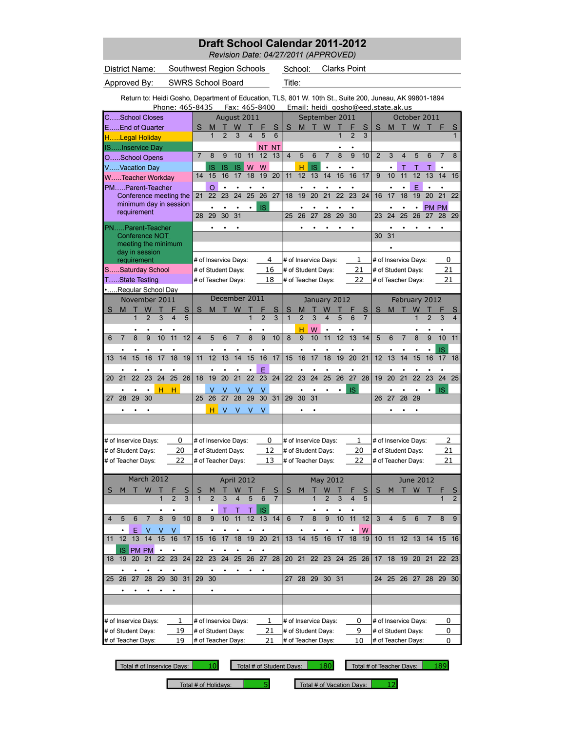*Revision Date: 04/27/2011 (APPROVED)*

|                           |                          | District Name:                                                                                          |                 |                                                                                                                            |                         |        | Southwest Region Schools |                     |                      |                |                |                 |                     |                         | School:                            |           |                         | <b>Clarks Point</b> |                 |                     |                    |                      |                |                    |                 |              |                     |
|---------------------------|--------------------------|---------------------------------------------------------------------------------------------------------|-----------------|----------------------------------------------------------------------------------------------------------------------------|-------------------------|--------|--------------------------|---------------------|----------------------|----------------|----------------|-----------------|---------------------|-------------------------|------------------------------------|-----------|-------------------------|---------------------|-----------------|---------------------|--------------------|----------------------|----------------|--------------------|-----------------|--------------|---------------------|
|                           |                          | Approved By:                                                                                            |                 |                                                                                                                            |                         |        | SWRS School Board        |                     |                      |                |                |                 |                     | Title:                  |                                    |           |                         |                     |                 |                     |                    |                      |                |                    |                 |              |                     |
|                           |                          | Return to: Heidi Gosho, Department of Education, TLS, 801 W. 10th St., Suite 200, Juneau, AK 99801-1894 |                 |                                                                                                                            |                         |        | Phone: 465-8435          |                     |                      |                |                | Fax: 465-8400   |                     |                         | Email: heidi_gosho@eed.state.ak.us |           |                         |                     |                 |                     |                    |                      |                |                    |                 |              |                     |
|                           |                          | CSchool Closes                                                                                          |                 |                                                                                                                            |                         |        |                          |                     | August 2011          |                |                |                 |                     |                         |                                    |           |                         | September 2011      |                 |                     |                    |                      |                | October 2011       |                 |              |                     |
|                           |                          | EEnd of Quarter<br>HLegal Holiday                                                                       |                 |                                                                                                                            |                         |        | S                        | M<br>$\mathbf{1}$   | $\overline{2}$       | W<br>3         | $\overline{4}$ | 5               | S<br>6              | S                       | M                                  | т         | W                       | 1                   | $\overline{2}$  | S<br>$\overline{3}$ | S                  | M                    |                | W                  |                 |              | S<br>$\mathbf{1}$   |
|                           |                          | ISInservice Day                                                                                         |                 |                                                                                                                            |                         |        |                          |                     |                      |                |                | NΤ              | ΝT                  |                         |                                    |           |                         |                     |                 |                     |                    |                      |                |                    |                 |              |                     |
|                           |                          | OSchool Opens                                                                                           |                 |                                                                                                                            |                         |        | $\overline{7}$           | 8                   | 9                    | 10             | 11             | 12              | 13                  | $\overline{\mathbf{4}}$ | 5                                  | 6         | 7                       | 8                   | 9               | 10                  | $\overline{2}$     | 3                    | 4              | 5                  | 6               | 7            | 8                   |
|                           |                          | VVacation Day                                                                                           |                 |                                                                                                                            |                         |        |                          | IS                  | IS                   | <b>IS</b>      | W              | W               |                     |                         | н                                  | <b>IS</b> |                         |                     |                 |                     |                    |                      | Т              | Т                  | Т               |              |                     |
|                           |                          | WTeacher Workday                                                                                        |                 |                                                                                                                            |                         |        | 14                       | 15                  | 16                   | 17             | 18             | 19              | 20                  | 11                      | 12                                 | 13        | 14                      | 15                  | 16              | 17                  | 9                  | 10                   | 11             | 12                 | 13              | 14           | 15                  |
|                           |                          | PMParent-Teacher                                                                                        |                 |                                                                                                                            |                         |        | 21                       | O<br>22             | 23                   | 24             | 25             | 26              | 27                  | 18                      |                                    | 20        | 21                      | 22                  | $\overline{23}$ | 24                  | 16                 |                      | 18             | E<br>19            | $\overline{20}$ | 21           | 22                  |
|                           |                          | Conference meeting the<br>minimum day in session                                                        |                 |                                                                                                                            |                         |        |                          |                     |                      |                |                |                 |                     |                         | 19                                 |           |                         |                     |                 |                     |                    | 17                   |                |                    |                 |              |                     |
|                           |                          | requirement                                                                                             |                 |                                                                                                                            |                         |        | 28                       | 29                  | ٠<br>30              | ٠<br>31        | ٠              | <b>IS</b>       |                     | 25                      | ٠<br>26                            | ٠<br>27   | ٠<br>28                 | ٠<br>29             | ٠<br>30         |                     | 23                 | ٠<br>24              | ٠<br>25        | $\bullet$<br>26    | 27              | PM PM<br>28  | 29                  |
|                           |                          | PNParent-Teacher                                                                                        |                 |                                                                                                                            |                         |        |                          |                     |                      |                |                |                 |                     |                         |                                    |           |                         |                     |                 |                     |                    |                      |                |                    |                 |              |                     |
|                           |                          | Conference NOT                                                                                          |                 |                                                                                                                            |                         |        |                          |                     |                      |                |                |                 |                     |                         |                                    |           |                         |                     |                 |                     | 30                 | 31                   |                |                    |                 |              |                     |
|                           |                          | meeting the minimum<br>day in session                                                                   |                 |                                                                                                                            |                         |        |                          |                     |                      |                |                |                 |                     |                         |                                    |           |                         |                     |                 |                     |                    |                      |                |                    |                 |              |                     |
|                           |                          | requirement                                                                                             |                 |                                                                                                                            |                         |        |                          |                     | # of Inservice Days: |                |                |                 | 4                   |                         | # of Inservice Days:               |           |                         |                     | 1               |                     |                    | # of Inservice Days: |                |                    |                 | 0            |                     |
|                           |                          | SSaturday School                                                                                        |                 |                                                                                                                            |                         |        |                          |                     | # of Student Days:   |                |                |                 | 16                  |                         | # of Student Days:                 |           |                         |                     | 21              |                     |                    | # of Student Days:   |                |                    |                 | 21           |                     |
|                           |                          |                                                                                                         |                 |                                                                                                                            |                         |        |                          |                     | # of Teacher Days:   |                |                |                 | 18                  |                         | # of Teacher Days:                 |           |                         |                     | 22              |                     |                    | # of Teacher Days:   |                |                    |                 | 21           |                     |
|                           |                          |                                                                                                         |                 |                                                                                                                            |                         |        |                          |                     | December 2011        |                |                |                 |                     |                         |                                    |           |                         |                     |                 |                     |                    |                      |                |                    |                 |              |                     |
| S                         | M                        | т                                                                                                       |                 |                                                                                                                            |                         | S      | S                        | M                   |                      | W              |                |                 | S                   | S                       | M                                  |           | W                       | January 2012        |                 | S                   | S                  | M                    |                | February 2012<br>W |                 |              | S                   |
|                           |                          | $\mathbf{1}$                                                                                            | $\overline{2}$  | 3                                                                                                                          | $\overline{\mathbf{4}}$ | 5      |                          |                     |                      |                | $\overline{1}$ | $\overline{2}$  | 3                   | $\overline{1}$          | $\overline{2}$                     | 3         | $\overline{\mathbf{4}}$ | 5                   | 6               | $\overline{7}$      |                    |                      |                | $\mathbf{1}$       | $\overline{2}$  | 3            | 4                   |
|                           |                          |                                                                                                         |                 |                                                                                                                            |                         |        |                          |                     |                      |                |                |                 |                     |                         | н                                  | W         | ٠                       |                     |                 |                     |                    |                      |                |                    |                 |              |                     |
| 6                         | $\overline{7}$           | 8                                                                                                       | 9               | TState Testing<br>Regular School Day<br>November 2011<br>W<br>10<br>11<br>18<br>16<br>17<br>24<br>25<br>23<br>н<br>н<br>30 |                         |        | $\overline{\mathbf{4}}$  | 5                   | 6                    | $\overline{7}$ | 8              | 9               | 10                  | 8                       | 9                                  | 10        | 11                      | 12                  | 13              | 14                  | 5                  | 6                    | $\overline{7}$ | 8                  | 9               | 10           | 11                  |
|                           |                          |                                                                                                         |                 |                                                                                                                            |                         |        |                          |                     |                      |                |                | $\bullet$       |                     |                         |                                    |           |                         |                     |                 |                     |                    |                      |                |                    |                 | IS           |                     |
| 13                        | 14                       | 15                                                                                                      |                 |                                                                                                                            |                         | 19     | 11                       | 12                  | 13                   | 14             | 15             | 16              | 17                  | 15                      | 16                                 | 17        | 18                      | 19                  | 20              | 21                  | 12                 | 13                   | 14             | 15                 | 16              | 17           | 18                  |
| 20                        | 21                       | 22                                                                                                      |                 |                                                                                                                            |                         | 26     | 18                       | 19                  | 20                   | 21             | 22             | E<br>23         | 24                  | 22                      | 23                                 | 24        | 25                      | 26                  | 27              | 28                  | 19                 | 20                   | 21             | 22                 | 23              | 24           | 25                  |
|                           |                          |                                                                                                         |                 |                                                                                                                            |                         |        |                          |                     |                      |                |                |                 |                     |                         |                                    |           |                         |                     |                 |                     |                    |                      |                |                    |                 | <b>IS</b>    |                     |
| 27                        | 28                       | 29                                                                                                      |                 |                                                                                                                            |                         |        | 25                       | 26                  | 27                   | v<br>28        | ۷<br>29        | ٧<br>30         | 31                  | 29                      | 30                                 | 31        |                         |                     | IS              |                     | 26                 | 27                   | 28             | 29                 |                 |              |                     |
|                           |                          |                                                                                                         |                 |                                                                                                                            |                         |        |                          | н                   | V                    | v              | V              | V               |                     |                         |                                    |           |                         |                     |                 |                     |                    |                      |                |                    |                 |              |                     |
|                           |                          |                                                                                                         |                 |                                                                                                                            |                         |        |                          |                     |                      |                |                |                 |                     |                         |                                    |           |                         |                     |                 |                     |                    |                      |                |                    |                 |              |                     |
|                           |                          | # of Inservice Days:                                                                                    |                 |                                                                                                                            |                         | 0      |                          |                     | # of Inservice Days: |                |                |                 | 0                   |                         | # of Inservice Days:               |           |                         |                     | 1               |                     |                    | # of Inservice Days: |                |                    |                 | 2            |                     |
|                           |                          | # of Student Days:                                                                                      |                 |                                                                                                                            |                         | 20     |                          |                     | # of Student Days:   |                |                |                 | 12                  |                         | # of Student Days:                 |           |                         |                     | 20              |                     |                    | # of Student Days:   |                |                    |                 | 21           |                     |
|                           |                          | # of Teacher Days:                                                                                      |                 |                                                                                                                            |                         | 22     |                          |                     | # of Teacher Days:   |                |                |                 | 13                  |                         | # of Teacher Days:                 |           |                         |                     | 22              |                     |                    | # of Teacher Days:   |                |                    |                 | 21           |                     |
|                           |                          |                                                                                                         |                 |                                                                                                                            |                         |        |                          |                     |                      |                |                |                 |                     |                         |                                    |           |                         |                     |                 |                     |                    |                      |                |                    |                 |              |                     |
|                           |                          | March 2012                                                                                              |                 |                                                                                                                            |                         |        |                          |                     |                      | April 2012     |                |                 |                     |                         |                                    |           | May 2012                |                     |                 |                     |                    |                      | Т              | <b>June 2012</b>   |                 |              |                     |
| S                         | м                        |                                                                                                         | W               | 1                                                                                                                          | $\overline{2}$          | S<br>3 | S<br>$\mathbf{1}$        | м<br>$\overline{2}$ | 3                    | W<br>4         | 5              | 6               | S<br>$\overline{7}$ | S                       | M                                  | 1         | W<br>$\overline{2}$     | 3                   | $\overline{4}$  | S<br>5              | S                  | M                    |                | W                  | т               | $\mathbf{1}$ | S<br>$\overline{2}$ |
|                           |                          |                                                                                                         |                 |                                                                                                                            |                         |        |                          |                     | Τ                    | Τ              | Τ              | IS              |                     |                         |                                    |           |                         |                     |                 |                     |                    |                      |                |                    |                 |              |                     |
| 4                         | 5                        | 6                                                                                                       | 7               | 8                                                                                                                          | 9                       | 10     | 8                        | 9                   | 10                   | 11             | 12             | 13              | 14                  | 6                       | $\overline{7}$                     | 8         | 9                       | 10                  | 11              | 12                  | 3                  | $\overline{4}$       | 5              | 6                  | 7               | 8            | 9                   |
|                           |                          | Ε                                                                                                       | V               | V                                                                                                                          | V                       |        |                          |                     |                      |                |                |                 |                     |                         |                                    |           |                         |                     |                 | W                   |                    |                      |                |                    |                 |              |                     |
| 11                        | 12                       | 13                                                                                                      | $\overline{14}$ | 15                                                                                                                         | 16                      | 17     | 15                       | 16                  | 17                   | 18             | 19             | $\overline{20}$ | $\overline{21}$     | 13                      | 14                                 | 15        | 16                      | 17                  | 18              | 19                  | 10 <sup>1</sup>    | 11                   |                | 12 13              | 14              | 15           | 16                  |
|                           | <b>IS</b>                |                                                                                                         | PM PM           | $\bullet$                                                                                                                  | 23                      |        |                          |                     |                      | 25             |                | 27              |                     |                         |                                    |           |                         |                     |                 |                     |                    |                      |                | 20 21              |                 |              |                     |
| 18                        | 19                       | 20                                                                                                      | 21              | 22                                                                                                                         |                         | 24     |                          | 22 23               | 24                   |                | 26             |                 | 28                  | 20 21                   |                                    |           |                         | 22 23 24 25 26      |                 |                     | 17                 | 18                   | 19             |                    |                 | 22 23        |                     |
| 25                        | 26                       | 27                                                                                                      | 28              | 29                                                                                                                         | 30                      | 31     | 29                       | 30                  |                      |                |                |                 |                     | 27                      | 28 29                              |           | 30 31                   |                     |                 |                     |                    | 24 25                |                | 26 27              | 28              | 29           | 30                  |
|                           |                          |                                                                                                         |                 |                                                                                                                            |                         |        |                          |                     |                      |                |                |                 |                     |                         |                                    |           |                         |                     |                 |                     |                    |                      |                |                    |                 |              |                     |
|                           |                          |                                                                                                         |                 |                                                                                                                            |                         |        |                          |                     |                      |                |                |                 |                     |                         |                                    |           |                         |                     |                 |                     |                    |                      |                |                    |                 |              |                     |
|                           |                          |                                                                                                         |                 |                                                                                                                            |                         |        |                          |                     |                      |                |                |                 |                     |                         |                                    |           |                         |                     |                 |                     |                    |                      |                |                    |                 |              |                     |
| 1<br># of Inservice Days: |                          |                                                                                                         |                 |                                                                                                                            |                         |        |                          |                     | # of Inservice Days: |                |                |                 | 1                   |                         | # of Inservice Days:               |           |                         |                     | 0               |                     |                    | # of Inservice Days: |                |                    |                 | 0            |                     |
|                           | 19<br># of Student Days: |                                                                                                         |                 |                                                                                                                            |                         |        |                          |                     | # of Student Days:   |                |                | 21              | 21                  |                         | # of Student Days:                 |           |                         |                     | 9<br>10         |                     |                    | # of Student Days:   |                |                    |                 | 0            |                     |
|                           | # of Teacher Days:<br>19 |                                                                                                         |                 |                                                                                                                            |                         |        |                          | # of Teacher Days:  |                      |                |                |                 |                     | # of Teacher Days:      |                                    |           |                         |                     |                 |                     | # of Teacher Days: |                      |                |                    | 0               |              |                     |

Total # of Inservice Days: 10 Total # of Student Days: 180 Total # of Teacher Days: 189

Total # of Holidays:  $\begin{array}{|l|c|c|c|c|c|}\n\hline\n\text{Total $\#$ of vacation Days} & \text{12}\n\end{array}$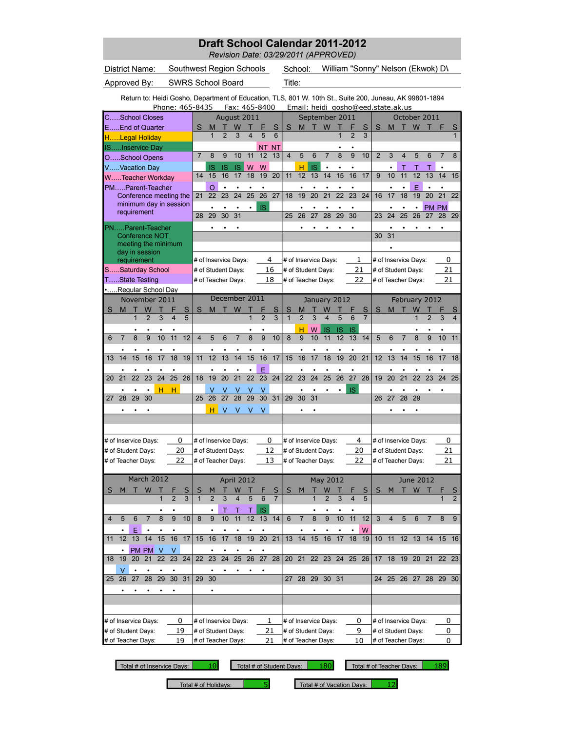*Revision Date: 03/29/2011 (APPROVED)*

|                |                          |                                                                                                         |                     |                 |                         |              |                          |                 |                |                      |                         |                 |                 |                     | REVISION DAIE. US/ZY/ZUTI (AFFROVED) |                 |                 |                 |                 |                     |                |    |                 |                      |                 |                                   |                     |
|----------------|--------------------------|---------------------------------------------------------------------------------------------------------|---------------------|-----------------|-------------------------|--------------|--------------------------|-----------------|----------------|----------------------|-------------------------|-----------------|-----------------|---------------------|--------------------------------------|-----------------|-----------------|-----------------|-----------------|---------------------|----------------|----|-----------------|----------------------|-----------------|-----------------------------------|---------------------|
|                |                          | District Name:                                                                                          |                     |                 |                         |              | Southwest Region Schools |                 |                |                      |                         |                 |                 |                     | School:                              |                 |                 |                 |                 |                     |                |    |                 |                      |                 | William "Sonny" Nelson (Ekwok) D\ |                     |
|                |                          | Approved By:                                                                                            |                     |                 |                         |              | <b>SWRS School Board</b> |                 |                |                      |                         |                 |                 | Title:              |                                      |                 |                 |                 |                 |                     |                |    |                 |                      |                 |                                   |                     |
|                |                          | Return to: Heidi Gosho, Department of Education, TLS, 801 W. 10th St., Suite 200, Juneau, AK 99801-1894 |                     |                 |                         |              |                          |                 |                |                      |                         |                 |                 |                     |                                      |                 |                 |                 |                 |                     |                |    |                 |                      |                 |                                   |                     |
|                |                          |                                                                                                         |                     |                 |                         |              | Phone: 465-8435          |                 |                | Fax: 465-8400        |                         |                 |                 |                     | Email: heidi gosho@eed.state.ak.us   |                 |                 |                 |                 |                     |                |    |                 |                      |                 |                                   |                     |
|                |                          | <b>C, School Closes</b>                                                                                 |                     |                 |                         |              |                          |                 |                | August 2011          |                         |                 |                 |                     |                                      |                 | September 2011  |                 |                 |                     |                |    |                 | October 2011         |                 |                                   |                     |
|                |                          | EEnd of Quarter                                                                                         |                     |                 |                         |              | S                        | M               |                | W                    |                         |                 | S               | S                   | M                                    |                 | W               |                 |                 | S                   | S              | M  |                 | W                    | т               |                                   | S                   |
|                |                          | HLegal Holiday                                                                                          |                     |                 |                         |              |                          | $\overline{1}$  | $\overline{2}$ | $\overline{3}$       | $\overline{\mathbf{4}}$ | 5               | 6               |                     |                                      |                 |                 | $\overline{1}$  | $\overline{2}$  | 3                   |                |    |                 |                      |                 |                                   | 1                   |
|                |                          | ISInservice Day                                                                                         |                     |                 |                         |              |                          |                 |                |                      |                         | NΤ              | NT.             |                     |                                      |                 |                 |                 |                 |                     |                |    |                 |                      |                 |                                   |                     |
|                |                          | OSchool Opens                                                                                           |                     |                 |                         |              | $\overline{7}$           | 8               | 9              | 10                   | 11                      | 12              | 13              | $\overline{4}$      | 5                                    | 6               | $\overline{7}$  | 8               | 9               | 10                  | $\overline{2}$ | 3  | 4               | 5                    | 6               | 7                                 | 8                   |
|                |                          | VVacation Day                                                                                           |                     |                 |                         |              |                          | IS              | IS             | <b>IS</b>            | W                       | W               |                 |                     | н                                    | IS              | $\bullet$       | $\bullet$       | $\bullet$       |                     |                |    | Т               |                      | Т               | $\bullet$                         |                     |
|                |                          | WTeacher Workday                                                                                        |                     |                 |                         |              | 14                       | 15              | 16             | 17                   | 18                      | 19              | 20              | 11                  | 12                                   | 13              | 14              | 15              | 16              | 17                  | 9              | 10 | 11              | 12                   | 13              | 14                                | 15                  |
|                |                          | PMParent-Teacher                                                                                        |                     |                 |                         |              |                          | O<br>22         |                | 24                   |                         |                 | 27              |                     |                                      |                 |                 | 22              |                 |                     |                |    |                 | E                    |                 | 21                                | 22                  |
|                |                          | Conference meeting the<br>minimum day in session                                                        |                     |                 |                         |              | 21                       |                 | 23             |                      | 25                      | 26              |                 | 18                  | 19                                   | 20              | 21              |                 | 23              | 24                  | 16             | 17 | 18              | 19                   | 20              |                                   |                     |
|                |                          | requirement                                                                                             |                     |                 |                         |              | 28                       | 29              | 30             | 31                   | ٠                       | <b>IS</b>       |                 | 25                  | 26                                   | 27              | 28              | 29              | 30              |                     | 23             | 24 | 25              | 26                   | <b>PM</b><br>27 | <b>PM</b><br>28                   | 29                  |
|                |                          |                                                                                                         |                     |                 |                         |              |                          |                 |                |                      |                         |                 |                 |                     |                                      |                 |                 |                 |                 |                     |                |    |                 |                      |                 |                                   |                     |
|                |                          | PNParent-Teacher<br>Conference NOT                                                                      |                     |                 |                         |              |                          |                 |                |                      |                         |                 |                 |                     |                                      |                 |                 |                 |                 |                     | 30             | 31 |                 |                      |                 |                                   |                     |
|                |                          | meeting the minimum                                                                                     |                     |                 |                         |              |                          |                 |                |                      |                         |                 |                 |                     |                                      |                 |                 |                 |                 |                     |                |    |                 |                      |                 |                                   |                     |
|                |                          | day in session                                                                                          |                     |                 |                         |              |                          |                 |                |                      |                         |                 |                 |                     |                                      |                 |                 |                 |                 |                     |                |    |                 |                      |                 |                                   |                     |
|                |                          | requirement                                                                                             |                     |                 |                         |              |                          |                 |                | # of Inservice Days: |                         |                 | 4               |                     | # of Inservice Days:                 |                 |                 |                 | 1               |                     |                |    |                 | # of Inservice Days: |                 | 0                                 |                     |
|                |                          | SSaturday School                                                                                        |                     |                 |                         |              |                          |                 |                | # of Student Days:   |                         |                 | 16              |                     | # of Student Days:                   |                 |                 |                 | 21              |                     |                |    |                 | # of Student Days:   |                 | 21                                |                     |
|                |                          | TState Testing                                                                                          |                     |                 |                         |              |                          |                 |                | # of Teacher Days:   |                         |                 | 18              |                     | # of Teacher Days:                   |                 |                 |                 | 22              |                     |                |    |                 | # of Teacher Days:   |                 | 21                                |                     |
|                |                          | Regular School Day                                                                                      |                     |                 |                         |              |                          |                 |                |                      |                         |                 |                 |                     |                                      |                 |                 |                 |                 |                     |                |    |                 |                      |                 |                                   |                     |
|                |                          | November 2011                                                                                           |                     |                 |                         |              |                          |                 |                | December 2011        |                         |                 |                 |                     |                                      |                 | January 2012    |                 |                 |                     |                |    |                 | February 2012        |                 |                                   |                     |
| S              | M                        | 1                                                                                                       | W<br>$\overline{2}$ | 3               | $\overline{\mathbf{4}}$ | S<br>5       | S                        | M               |                | W                    | $\overline{1}$          | $\overline{2}$  | S<br>3          | S<br>$\overline{1}$ | М<br>$\overline{2}$                  | 3               | $\overline{4}$  | 5               | 6               | S<br>$\overline{7}$ | S              | M  |                 | W<br>$\mathbf{1}$    | $\overline{2}$  | 3                                 | S<br>$\overline{4}$ |
|                |                          |                                                                                                         |                     |                 |                         |              |                          |                 |                |                      |                         |                 |                 |                     |                                      |                 |                 |                 |                 |                     |                |    |                 |                      |                 |                                   |                     |
| 6              | $\overline{7}$           | 8                                                                                                       | 9                   | 10              | 11                      | 12           | $\overline{4}$           | 5               | 6              | 7                    | 8                       | 9               | 10              | 8                   | н<br>9                               | W<br>10         | IS<br>11        | IS<br>12        | IS<br>13        | 14                  | 5              | 6  | $\overline{7}$  | 8                    | 9               | 10                                | 11                  |
|                |                          |                                                                                                         |                     |                 |                         |              |                          |                 |                |                      |                         |                 |                 |                     |                                      |                 |                 |                 |                 |                     |                |    |                 |                      |                 |                                   |                     |
| 13             | 14                       | 15                                                                                                      | 16                  | 17              | 18                      | 19           | 11                       | 12              | 13             | 14                   | $\overline{15}$         | $\overline{16}$ | 17              | 15                  | 16                                   | 17              | 18              | $\overline{19}$ | $\overline{20}$ | 21                  | 12             | 13 | 14              | $\overline{15}$      | 16              | $\overline{17}$                   | 18                  |
|                |                          |                                                                                                         |                     |                 |                         |              |                          |                 |                |                      |                         |                 |                 |                     |                                      |                 |                 |                 |                 |                     |                |    |                 |                      |                 |                                   |                     |
| 20             | 21                       | $\overline{22}$                                                                                         | $\overline{23}$     | $\overline{24}$ | $\overline{25}$         | 26           | 18                       | $\overline{19}$ | 20             | $\overline{21}$      | $\overline{22}$         | E<br>23         | 24              | 22                  | $\overline{23}$                      | $\overline{24}$ | $\overline{25}$ | $\overline{26}$ | $\overline{27}$ | $\overline{28}$     | 19             | 20 | $\overline{21}$ | $\overline{22}$      | 23              | 24                                | 25                  |
|                |                          |                                                                                                         |                     |                 |                         |              |                          |                 |                |                      |                         |                 |                 |                     |                                      |                 |                 |                 |                 |                     |                |    |                 |                      |                 |                                   |                     |
| 27             | 28                       | 29                                                                                                      | ٠<br>30             | н               | н                       |              | 25                       | 26              | 27             | V<br>28              | V<br>29                 | ٧<br>30         | 31              | 29                  | ٠<br>30                              | 31              |                 |                 | IS              |                     | 26             | 27 | 28              | 29                   |                 |                                   |                     |
|                |                          |                                                                                                         |                     |                 |                         |              |                          | н               | V              | ٧                    | ٧                       | V               |                 |                     |                                      |                 |                 |                 |                 |                     |                |    |                 |                      |                 |                                   |                     |
|                |                          |                                                                                                         |                     |                 |                         |              |                          |                 |                |                      |                         |                 |                 |                     |                                      |                 |                 |                 |                 |                     |                |    |                 |                      |                 |                                   |                     |
|                |                          |                                                                                                         |                     |                 |                         |              |                          |                 |                |                      |                         |                 |                 |                     |                                      |                 |                 |                 |                 |                     |                |    |                 |                      |                 |                                   |                     |
|                |                          | # of Inservice Days:                                                                                    |                     |                 |                         | 0            |                          |                 |                | # of Inservice Days: |                         |                 | 0               |                     | # of Inservice Days:                 |                 |                 |                 | 4               |                     |                |    |                 | # of Inservice Days: |                 | 0                                 |                     |
|                |                          | # of Student Days:                                                                                      |                     |                 |                         | 20           |                          |                 |                | # of Student Days:   |                         |                 | 12              |                     | # of Student Days:                   |                 |                 |                 | 20              |                     |                |    |                 | # of Student Days:   |                 | 21                                |                     |
|                |                          | # of Teacher Days:                                                                                      |                     |                 |                         | 22           |                          |                 |                | # of Teacher Days:   |                         |                 | 13              |                     | # of Teacher Days:                   |                 |                 |                 | 22              |                     |                |    |                 | # of Teacher Days:   |                 | 21                                |                     |
|                |                          |                                                                                                         |                     |                 |                         |              |                          |                 |                |                      |                         |                 |                 |                     |                                      |                 |                 |                 |                 |                     |                |    |                 |                      |                 |                                   |                     |
|                |                          | March 2012                                                                                              |                     |                 |                         |              |                          |                 |                | April 2012           |                         |                 |                 |                     |                                      |                 | May 2012        |                 |                 |                     |                |    |                 | <b>June 2012</b>     |                 |                                   |                     |
| S              | M                        | т                                                                                                       | W                   | Т               |                         | $\mathsf{s}$ | S                        | M               | т              | W                    | т                       |                 | S               | S                   | M                                    | т               | W               | Т               |                 | S                   | S              | M  |                 | T W T                |                 | F                                 | S                   |
|                |                          |                                                                                                         |                     | 1               | $\overline{2}$          | 3            | $\mathbf{1}$             | $\overline{2}$  | 3              | 4                    | 5                       | 6               | $\overline{7}$  |                     |                                      |                 | $\overline{2}$  | 3               | $\overline{4}$  | 5                   |                |    |                 |                      |                 | 1                                 | $\overline{2}$      |
|                |                          |                                                                                                         |                     |                 |                         |              |                          |                 | T              | T                    | T                       | IS              |                 |                     |                                      |                 |                 |                 |                 |                     |                |    |                 |                      |                 |                                   |                     |
| $\overline{4}$ | 5                        | 6                                                                                                       | $\overline{7}$      | $\overline{8}$  | $\overline{9}$          | 10           | 8                        | $\overline{9}$  | 10             | 11                   | 12                      | 13              | 14              | 6                   | $\overline{7}$                       | 8               | $\overline{9}$  | 10              | 11              | 12                  | 3              | 4  | 5               | 6                    | $\overline{7}$  | 8                                 | 9                   |
|                |                          | Ε                                                                                                       |                     |                 |                         |              |                          |                 |                |                      |                         |                 |                 |                     |                                      |                 |                 |                 |                 | W                   |                |    |                 |                      |                 |                                   |                     |
| 11             | 12                       | 13                                                                                                      | 14                  | 15              | 16                      | 17           | 15                       | 16              | 17             | 18                   | 19                      | 20              | $\overline{21}$ | 13                  | 14                                   | 15              | 16              | 17              | 18              | 19                  | 10             | 11 | 12 <sup>7</sup> | 13                   | 14              | 15 16                             |                     |
|                | $\bullet$                |                                                                                                         | PM PM V             |                 | V                       |              |                          |                 |                | ٠                    |                         | $\bullet$       |                 |                     |                                      |                 |                 |                 |                 |                     |                |    |                 |                      |                 |                                   |                     |
| 18             | 19                       | 20                                                                                                      | 21                  | 22              | 23                      | 24           | 22                       | $\overline{23}$ | 24             | 25                   | 26                      | 27              | 28              | 20 <sub>2</sub>     | 21                                   |                 |                 |                 | 22 23 24 25 26  |                     | 17             |    |                 | 18 19 20 21          |                 | 22 23                             |                     |
|                | V                        |                                                                                                         |                     |                 |                         |              |                          |                 |                |                      |                         |                 |                 |                     |                                      |                 |                 |                 |                 |                     |                |    |                 |                      |                 |                                   |                     |
| 25             | 26                       | 27                                                                                                      | $\overline{28}$     | 29              | 30                      | 31           | 29                       | 30              |                |                      |                         |                 |                 | 27                  | 28 29                                |                 | 30 31           |                 |                 |                     | 24             | 25 |                 | 26 27                | 28              | 29                                | 30                  |
|                |                          |                                                                                                         |                     |                 |                         |              |                          | $\bullet$       |                |                      |                         |                 |                 |                     |                                      |                 |                 |                 |                 |                     |                |    |                 |                      |                 |                                   |                     |
|                |                          |                                                                                                         |                     |                 |                         |              |                          |                 |                |                      |                         |                 |                 |                     |                                      |                 |                 |                 |                 |                     |                |    |                 |                      |                 |                                   |                     |
|                |                          |                                                                                                         |                     |                 |                         |              |                          |                 |                |                      |                         |                 |                 |                     |                                      |                 |                 |                 |                 |                     |                |    |                 |                      |                 |                                   |                     |
|                |                          | # of Inservice Days:                                                                                    |                     |                 |                         | 0            |                          |                 |                | # of Inservice Days: |                         |                 | 1               |                     | # of Inservice Days:                 |                 |                 |                 | 0               |                     |                |    |                 | # of Inservice Days: |                 | 0                                 |                     |
|                | 19<br># of Student Days: |                                                                                                         |                     |                 |                         |              |                          |                 |                | # of Student Days:   |                         |                 | 21              |                     | # of Student Days:                   |                 |                 |                 | 9               |                     |                |    |                 | # of Student Days:   |                 | 0                                 |                     |
|                | 19<br># of Teacher Days: |                                                                                                         |                     |                 |                         |              |                          |                 |                | # of Teacher Days:   |                         |                 | 21              |                     | # of Teacher Days:                   |                 |                 |                 | 10              |                     |                |    |                 | # of Teacher Days:   |                 | 0                                 |                     |

L

Total # of Inservice Days: 10 Total # of Student Days: 180 Total # of Teacher Days: 189

Total # of Holidays:  $\begin{array}{|l|l|} \hline \rule{0.2cm}{1.1ex} \rule{0.2cm}{1.1ex} \end{array}$  Total # of Vacation Days:  $\begin{array}{|l|} \rule{0.2cm}{1.1ex} \rule{0.2cm}{1.1ex} \end{array}$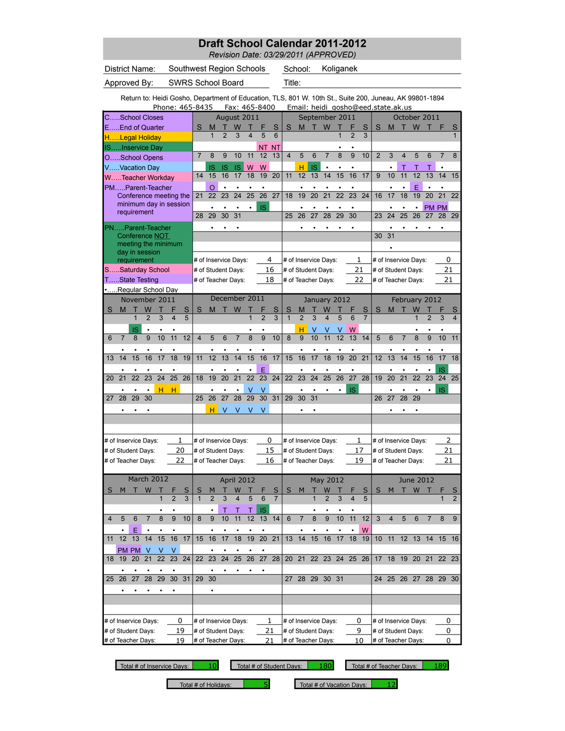*Revision Date: 03/29/2011 (APPROVED)*

|                |                                                       | District Name:                             |                     |                 |                         |        | Southwest Region Schools                                                                                                   |                |                      |                     |                     |                          |                     |                   | School:                                  |                 | Koliganek           |                 |                         |        |                |                                          |                 |                  |                |                 |                     |
|----------------|-------------------------------------------------------|--------------------------------------------|---------------------|-----------------|-------------------------|--------|----------------------------------------------------------------------------------------------------------------------------|----------------|----------------------|---------------------|---------------------|--------------------------|---------------------|-------------------|------------------------------------------|-----------------|---------------------|-----------------|-------------------------|--------|----------------|------------------------------------------|-----------------|------------------|----------------|-----------------|---------------------|
|                |                                                       | Approved By:                               |                     |                 |                         |        | <b>SWRS School Board</b>                                                                                                   |                |                      |                     |                     |                          |                     | Title:            |                                          |                 |                     |                 |                         |        |                |                                          |                 |                  |                |                 |                     |
|                |                                                       |                                            |                     |                 |                         |        |                                                                                                                            |                |                      |                     |                     |                          |                     |                   |                                          |                 |                     |                 |                         |        |                |                                          |                 |                  |                |                 |                     |
|                |                                                       |                                            |                     |                 |                         |        | Return to: Heidi Gosho, Department of Education, TLS, 801 W. 10th St., Suite 200, Juneau, AK 99801-1894<br>Phone: 465-8435 |                |                      |                     |                     | Fax: 465-8400            |                     |                   | Email: heidi_gosho@eed.state.ak.us       |                 |                     |                 |                         |        |                |                                          |                 |                  |                |                 |                     |
|                |                                                       | CSchool Closes                             |                     |                 |                         |        |                                                                                                                            |                | August 2011          |                     |                     |                          |                     |                   |                                          |                 | September 2011      |                 |                         |        |                |                                          |                 | October 2011     |                |                 |                     |
|                |                                                       | EEnd of Quarter                            |                     |                 |                         |        | S                                                                                                                          | M              | т                    | W                   | Т                   | F                        | S                   | S                 | M                                        | т               | W                   | Т               | F                       | S      | S              | M                                        | $\mathsf{T}$    | W                | т              | F               | S                   |
|                |                                                       | HLegal Holiday                             |                     |                 |                         |        |                                                                                                                            | $\mathbf{1}$   | $\overline{2}$       | 3                   | 4                   | 5                        | 6                   |                   |                                          |                 |                     | 1               | $\overline{2}$          | 3      |                |                                          |                 |                  |                |                 |                     |
|                |                                                       | ISInservice Day                            |                     |                 |                         |        |                                                                                                                            |                |                      |                     |                     | ΝT                       | <b>NT</b>           |                   |                                          |                 |                     |                 |                         |        |                |                                          |                 |                  |                |                 |                     |
|                |                                                       | OSchool Opens                              |                     |                 |                         |        | $\overline{7}$                                                                                                             | 8              | 9                    | 10                  | 11                  | 12                       | 13                  | $\overline{4}$    | 5                                        | 6               | $\overline{7}$      | 8               | 9                       | 10     | $\overline{2}$ | 3                                        | 4               | 5                | 6              | $\overline{7}$  | 8                   |
|                |                                                       | VVacation Day                              |                     |                 |                         |        | 14                                                                                                                         | IS<br>15       | IS<br>16             | IS<br>17            | W<br>18             | W<br>19                  | 20                  |                   | н<br>12                                  | IS<br>13        | $\bullet$<br>14     | 15              | 16                      | 17     | 9              | 10                                       | Т<br>11         | Т<br>12          | 13             | $\bullet$<br>14 | 15                  |
|                |                                                       | WTeacher Workday                           |                     |                 |                         |        |                                                                                                                            |                |                      |                     |                     |                          |                     | 11                |                                          |                 |                     |                 |                         |        |                |                                          |                 |                  |                |                 |                     |
|                |                                                       | PMParent-Teacher<br>Conference meeting the |                     |                 |                         |        | 21                                                                                                                         | O<br>22        | 23                   | 24                  | 25                  | 26                       | $\overline{27}$     | 18                | 19                                       | 20              | 21                  | 22              | 23                      | 24     | 16             | 17                                       | 18              | E<br>19          | 20             | 21              | 22                  |
|                |                                                       | minimum day in session                     |                     |                 |                         |        |                                                                                                                            |                |                      |                     |                     | <b>IS</b>                |                     |                   |                                          |                 |                     |                 |                         |        |                |                                          |                 |                  |                | <b>PM PM</b>    |                     |
|                |                                                       | requirement                                |                     |                 |                         |        | 28                                                                                                                         | 29             | 30                   | 31                  |                     |                          |                     | 25                | 26                                       | 27              | 28                  | 29              | 30                      |        | 23             | 24                                       | 25              | 26               | 27             | 28              | 29                  |
|                |                                                       | PNParent-Teacher                           |                     |                 |                         |        |                                                                                                                            |                |                      |                     |                     |                          |                     |                   |                                          |                 |                     |                 |                         |        |                |                                          |                 |                  |                |                 |                     |
|                |                                                       | Conference NOT                             |                     |                 |                         |        |                                                                                                                            |                |                      |                     |                     |                          |                     |                   |                                          |                 |                     |                 |                         |        | 30             | 31                                       |                 |                  |                |                 |                     |
|                |                                                       | meeting the minimum<br>day in session      |                     |                 |                         |        |                                                                                                                            |                |                      |                     |                     |                          |                     |                   |                                          |                 |                     |                 |                         |        |                |                                          |                 |                  |                |                 |                     |
|                |                                                       | requirement                                |                     |                 |                         |        |                                                                                                                            |                | # of Inservice Days: |                     |                     | 4                        |                     |                   | # of Inservice Days:                     |                 |                     |                 | 1                       |        |                | # of Inservice Days:                     |                 |                  |                | 0               |                     |
|                |                                                       | SSaturday School                           |                     |                 |                         |        | # of Student Days:                                                                                                         |                |                      |                     |                     |                          | 16                  |                   | # of Student Days:                       |                 |                     |                 | 21                      |        |                | # of Student Days:                       |                 |                  |                | 21              |                     |
|                |                                                       | TState Testing                             |                     |                 |                         |        |                                                                                                                            |                | # of Teacher Days:   |                     |                     |                          | 18                  |                   | # of Teacher Days:                       |                 |                     |                 | 22                      |        |                | # of Teacher Days:                       |                 |                  |                | 21              |                     |
|                |                                                       | Regular School Day                         |                     |                 |                         |        |                                                                                                                            |                |                      |                     |                     |                          |                     |                   |                                          |                 |                     |                 |                         |        |                |                                          |                 |                  |                |                 |                     |
|                |                                                       | November 2011                              |                     |                 |                         |        |                                                                                                                            |                | December 2011        |                     |                     |                          |                     |                   |                                          |                 | January 2012        |                 |                         |        |                |                                          |                 | February 2012    |                |                 |                     |
| S              | M                                                     | т<br>1                                     | W<br>$\overline{2}$ | 3               | $\overline{\mathbf{4}}$ | S<br>5 | S                                                                                                                          | M              | т                    | W                   | 1                   | $\overline{\mathcal{L}}$ | S<br>3              | S<br>$\mathbf{1}$ | M<br>$\overline{2}$                      | 3               | W<br>$\overline{4}$ | 5               | 6                       | S<br>7 | S              | M                                        | т               | W<br>1           | 2              | F<br>3          | S<br>4              |
|                |                                                       | IS                                         |                     |                 |                         |        |                                                                                                                            |                |                      |                     |                     |                          |                     |                   | н                                        |                 |                     |                 | W                       |        |                |                                          |                 |                  |                |                 |                     |
| 6              | $\overline{7}$                                        | 8                                          | 9                   | 10              | 11                      | 12     | $\overline{4}$                                                                                                             | 5              | 6                    | $\overline{7}$      | 8                   | 9                        | 10                  | 8                 | 9                                        | 10              | 11                  | 12              | 13                      | 14     | 5              | 6                                        | $\overline{7}$  | 8                | 9              | 10              | 11                  |
|                |                                                       |                                            |                     |                 |                         |        |                                                                                                                            |                |                      |                     |                     |                          |                     |                   |                                          |                 |                     |                 |                         |        |                |                                          |                 |                  |                |                 |                     |
| 13             | 14                                                    | 15                                         | 16                  | 17              | 18                      | 19     | 11                                                                                                                         | 12             | 13                   | 14                  | $\overline{15}$     | 16                       | 17                  | 15                | 16                                       | 17              | 18                  | 19              | $\overline{20}$         | 21     | 12             | 13                                       | 14              | 15               | 16             | 17              | 18                  |
|                |                                                       |                                            | ٠                   | ٠               | ٠                       |        |                                                                                                                            |                |                      | ٠                   | ٠                   | E                        |                     |                   | ٠                                        | ٠               |                     |                 | ٠                       |        |                | ٠                                        |                 |                  |                | <b>IS</b>       |                     |
| 20             | 21                                                    | 22                                         | $\overline{23}$     | $\overline{24}$ | 25                      | 26     | 18                                                                                                                         | 19             | $\overline{20}$      | $\overline{21}$     | 22                  | $\overline{23}$          | 24                  | 22                | 23                                       | $\overline{24}$ | 25                  | $\overline{26}$ | $\overline{27}$         | 28     | 19             | 20                                       | $\overline{21}$ | $\overline{22}$  | 23             | 24              | 25                  |
|                |                                                       |                                            |                     | н               | н                       |        |                                                                                                                            |                |                      |                     | V                   | V                        |                     |                   |                                          |                 |                     |                 | <b>IS</b>               |        |                |                                          |                 |                  |                | <b>IS</b>       |                     |
| 27             | 28                                                    | 29                                         | 30                  |                 |                         |        | 25                                                                                                                         | 26             | 27                   | 28                  | 29                  | 30                       | 31                  | 29                | 30                                       | 31              |                     |                 |                         |        | 26             | 27                                       | 28              | 29               |                |                 |                     |
|                |                                                       |                                            |                     |                 |                         |        |                                                                                                                            | н              | $\vee$               | V                   | V                   | V                        |                     |                   |                                          |                 |                     |                 |                         |        |                |                                          |                 |                  |                |                 |                     |
|                |                                                       |                                            |                     |                 |                         |        |                                                                                                                            |                |                      |                     |                     |                          |                     |                   |                                          |                 |                     |                 |                         |        |                |                                          |                 |                  |                |                 |                     |
|                |                                                       | # of Inservice Days:                       |                     |                 |                         | 1      | # of Inservice Days:                                                                                                       |                |                      |                     |                     | 0                        |                     |                   | # of Inservice Days:                     |                 |                     |                 | 1                       |        |                | # of Inservice Days:                     |                 |                  |                | 2               |                     |
|                |                                                       | # of Student Days:                         |                     |                 |                         | 20     |                                                                                                                            |                | # of Student Days:   |                     |                     |                          | 15                  |                   | # of Student Days:                       |                 |                     |                 | 17                      |        |                | # of Student Days:                       |                 |                  |                | 21              |                     |
|                |                                                       | # of Teacher Days:                         |                     |                 |                         | 22     |                                                                                                                            |                | # of Teacher Days:   |                     |                     |                          | 16                  |                   | # of Teacher Days:                       |                 |                     |                 | 19                      |        |                | # of Teacher Days:                       |                 |                  |                | 21              |                     |
|                |                                                       |                                            |                     |                 |                         |        |                                                                                                                            |                |                      |                     |                     |                          |                     |                   |                                          |                 |                     |                 |                         |        |                |                                          |                 |                  |                |                 |                     |
|                |                                                       | March 2012                                 |                     |                 |                         |        |                                                                                                                            |                |                      | April 2012          |                     |                          |                     |                   |                                          |                 | May 2012            |                 |                         |        |                |                                          |                 | <b>June 2012</b> |                |                 |                     |
| S              | M                                                     | т                                          | W                   | Τ               |                         | S<br>3 | S<br>$\overline{1}$                                                                                                        | M              | т                    | W<br>$\overline{4}$ | Τ<br>$\overline{5}$ |                          | S<br>$\overline{7}$ | S                 | M                                        | т               | W                   | Т<br>3          |                         | S      | S              | M                                        |                 | T W T            |                | $\mathbf{1}$    | S<br>$\overline{2}$ |
|                |                                                       |                                            |                     | $\mathbf{1}$    | $\overline{2}$          |        |                                                                                                                            | $\overline{2}$ | 3                    |                     |                     | 6                        |                     |                   |                                          |                 | $\overline{2}$      |                 | $\overline{\mathbf{4}}$ | 5      |                |                                          |                 |                  |                |                 |                     |
| $\overline{4}$ | 5                                                     | 6                                          | $\overline{7}$      | 8               | 9                       | 10     | 8                                                                                                                          | 9              | Τ<br>10              | Τ<br>11             | Τ<br>12             | <b>IS</b>                | 13 14               | 6                 | $\overline{7}$                           | 8               | $\overline{9}$      | 10              | 11                      | 12     | 3              | $\overline{4}$                           | 5               | 6                | $\overline{7}$ | 8               | 9                   |
|                | ٠                                                     | Ε                                          |                     | ٠               | ٠                       |        |                                                                                                                            |                | ٠                    |                     |                     | ٠                        |                     |                   |                                          |                 |                     |                 |                         | W      |                |                                          |                 |                  |                |                 |                     |
| 11             | 12                                                    | 13                                         | 14                  | 15              | 16                      | 17     | 15                                                                                                                         | 16             | 17                   | 18                  | 19                  | $\overline{20}$          | 21                  | 13                | 14                                       | 15              | 16                  | 17              | 18                      | 19     | 10             | 11                                       |                 |                  |                | 12 13 14 15 16  |                     |
|                |                                                       | PM PM                                      | $\vee$              | V               | V                       |        |                                                                                                                            |                |                      |                     |                     |                          |                     |                   |                                          |                 |                     |                 |                         |        |                |                                          |                 |                  |                |                 |                     |
| 18             | 19                                                    | 20                                         | 21                  | 22              | 23                      | 24     | 22                                                                                                                         | 23             | 24                   | 25                  | 26                  | 27                       | 28                  | 20                | 21                                       |                 | 22 23               |                 | 24 25                   | 26     | 17             | 18                                       |                 | 19 20            | 21             | 22 23           |                     |
|                |                                                       |                                            |                     |                 |                         |        |                                                                                                                            |                |                      |                     |                     |                          |                     |                   |                                          |                 |                     |                 |                         |        |                |                                          |                 |                  |                |                 |                     |
| 25             | 26                                                    | 27                                         | 28                  | 29              | 30                      | 31     | 29                                                                                                                         | 30             |                      |                     |                     |                          |                     | 27                | 28 29                                    |                 | 30 31               |                 |                         |        | 24             |                                          | 25 26           | 27               | 28             | 29              | 30                  |
|                |                                                       |                                            |                     |                 |                         |        |                                                                                                                            | $\bullet$      |                      |                     |                     |                          |                     |                   |                                          |                 |                     |                 |                         |        |                |                                          |                 |                  |                |                 |                     |
|                |                                                       |                                            |                     |                 |                         |        |                                                                                                                            |                |                      |                     |                     |                          |                     |                   |                                          |                 |                     |                 |                         |        |                |                                          |                 |                  |                |                 |                     |
|                |                                                       |                                            |                     |                 |                         |        |                                                                                                                            |                |                      |                     |                     |                          |                     |                   |                                          |                 |                     |                 |                         |        |                |                                          |                 |                  |                |                 |                     |
|                | 0<br># of Inservice Days:<br>19<br># of Student Days: |                                            |                     |                 |                         |        |                                                                                                                            |                | # of Inservice Days: |                     |                     | 1                        |                     |                   | # of Inservice Days:                     |                 |                     |                 | 0<br>9                  |        |                | # of Inservice Days:                     |                 |                  |                | 0               |                     |
|                | # of Teacher Days:                                    |                                            |                     |                 |                         |        | # of Student Days:<br># of Teacher Days:                                                                                   |                |                      |                     |                     | 21                       | 21                  |                   | # of Student Days:<br># of Teacher Days: |                 |                     |                 |                         | 10     |                | # of Student Days:<br># of Teacher Days: |                 |                  |                | 0<br>0          |                     |
|                | 19                                                    |                                            |                     |                 |                         |        |                                                                                                                            |                |                      |                     |                     |                          |                     |                   |                                          |                 |                     |                 |                         |        |                |                                          |                 |                  |                |                 |                     |

Total # of Inservice Days: 10 Total # of Student Days: 180 Total # of Teacher Days: 189

Total # of Holidays:  $\begin{array}{|l|c|c|c|c|}\n\hline\n\text{Total $\#$ of Vacation Days:} & 12\n\end{array}$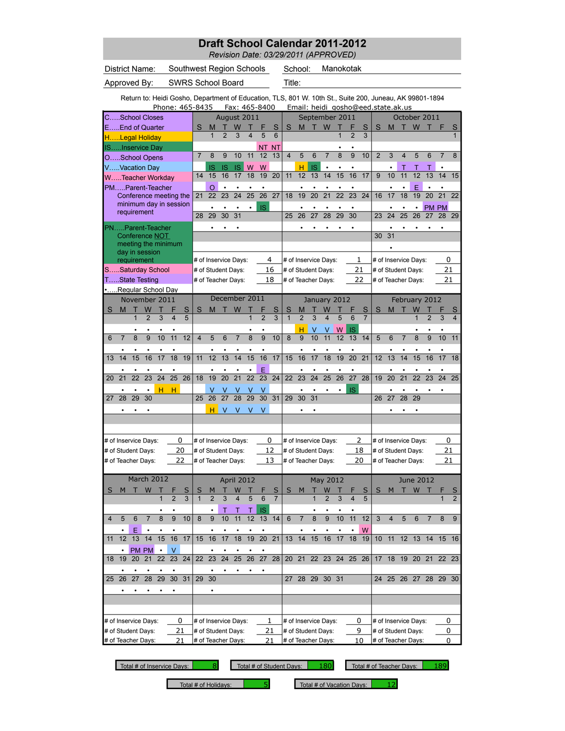*Revision Date: 03/29/2011 (APPROVED)*

| District Name:       |                          |                                                                                                         |                     |              |                         |    | Southwest Region Schools |                      |                |                         |                |                 |                |                     | School:                                  |    |                |                 | Manokotak      |                |                    |                |                 |                      |                |                      |                         |
|----------------------|--------------------------|---------------------------------------------------------------------------------------------------------|---------------------|--------------|-------------------------|----|--------------------------|----------------------|----------------|-------------------------|----------------|-----------------|----------------|---------------------|------------------------------------------|----|----------------|-----------------|----------------|----------------|--------------------|----------------|-----------------|----------------------|----------------|----------------------|-------------------------|
| Approved By:         |                          |                                                                                                         |                     |              |                         |    | <b>SWRS School Board</b> |                      |                |                         |                |                 |                | Title:              |                                          |    |                |                 |                |                |                    |                |                 |                      |                |                      |                         |
|                      |                          | Return to: Heidi Gosho, Department of Education, TLS, 801 W. 10th St., Suite 200, Juneau, AK 99801-1894 |                     |              |                         |    | Phone: 465-8435          |                      |                |                         |                | Fax: 465-8400   |                |                     | Email: heidi_gosho@eed.state.ak.us       |    |                |                 |                |                |                    |                |                 |                      |                |                      |                         |
| CSchool Closes       |                          |                                                                                                         |                     |              |                         |    |                          |                      |                | August 2011             |                |                 |                |                     |                                          |    | September 2011 |                 |                |                |                    |                |                 | October 2011         |                |                      |                         |
| EEnd of Quarter      |                          |                                                                                                         |                     |              |                         |    | S                        | M                    |                | W                       |                |                 | S              | S                   | M                                        | т  | W              |                 | F              | S              | S                  | M              | т               | W                    |                | F                    | S                       |
| HLegal Holiday       |                          |                                                                                                         |                     |              |                         |    |                          | $\overline{1}$       | $\overline{2}$ | 3                       | 4              | 5               | 6              |                     |                                          |    |                | 1               | $\overline{2}$ | 3              |                    |                |                 |                      |                |                      |                         |
| ISInservice Day      |                          |                                                                                                         |                     |              |                         |    |                          |                      |                |                         |                | ΝT              | NT             |                     |                                          |    |                |                 |                |                |                    |                |                 |                      |                |                      |                         |
| OSchool Opens        |                          |                                                                                                         |                     |              |                         |    | $\overline{7}$           | 8                    | 9              | 10                      | 11             | 12              | 13             | $\overline{4}$      | 5                                        | 6  | 7              | 8               | 9              | 10             | $\overline{2}$     | 3              | 4               | 5                    | 6              | $\overline{7}$       | 8                       |
| VVacation Day        |                          |                                                                                                         |                     |              |                         |    |                          | IS                   | <b>IS</b>      | IS                      | W              | W               |                |                     | н                                        | IS | $\bullet$      | $\bullet$       |                |                |                    |                | Τ               | Τ                    | Τ              | $\bullet$            |                         |
| WTeacher Workday     |                          |                                                                                                         |                     |              |                         |    | 14                       | 15                   | 16             | 17                      | 18             | 19              | 20             | 11                  | 12                                       | 13 | 14             | 15              | 16             | 17             | 9                  | 10             | 11              | 12                   | 13             | 14                   | 15                      |
| PMParent-Teacher     |                          |                                                                                                         |                     |              |                         |    |                          | O                    |                |                         |                |                 |                |                     |                                          |    |                |                 |                |                |                    |                |                 | E                    |                |                      |                         |
|                      |                          | Conference meeting the                                                                                  |                     |              |                         |    | 21                       | 22                   | 23             | 24                      | 25             | $\overline{26}$ | 27             | 18                  | 19                                       | 20 | 21             | $\overline{22}$ | 23             | 24             | 16                 | 17             | 18              | 19                   | 20             | 21                   | 22                      |
|                      |                          | minimum day in session                                                                                  |                     |              |                         |    |                          |                      |                |                         |                | <b>IS</b>       |                |                     |                                          |    |                |                 |                |                |                    |                |                 |                      | <b>PM PM</b>   |                      |                         |
|                      |                          | requirement                                                                                             |                     |              |                         |    | 28                       | 29                   | 30             | 31                      |                |                 |                | 25                  | 26                                       | 27 | 28             | 29              | 30             |                | 23                 | 24             | $\overline{25}$ | 26                   | 27             | 28                   | 29                      |
| PNParent-Teacher     |                          |                                                                                                         |                     |              |                         |    |                          |                      |                |                         |                |                 |                |                     |                                          |    |                |                 |                |                |                    |                |                 |                      |                |                      |                         |
|                      |                          | Conference NOT                                                                                          |                     |              |                         |    |                          |                      |                |                         |                |                 |                |                     |                                          |    |                |                 |                |                | 30                 | 31             |                 |                      |                |                      |                         |
|                      |                          | meeting the minimum                                                                                     |                     |              |                         |    |                          |                      |                |                         |                |                 |                |                     |                                          |    |                |                 |                |                |                    |                |                 |                      |                |                      |                         |
|                      |                          | day in session                                                                                          |                     |              |                         |    |                          |                      |                |                         |                |                 |                |                     |                                          |    |                |                 |                |                |                    |                |                 |                      |                |                      |                         |
|                      |                          | requirement                                                                                             |                     |              |                         |    |                          | # of Inservice Days: |                |                         |                |                 | 4              |                     | # of Inservice Days:                     |    |                |                 | 1              |                |                    |                |                 | # of Inservice Days: |                | 0                    |                         |
| SSaturday School     |                          |                                                                                                         |                     |              |                         |    |                          | # of Student Days:   |                |                         |                |                 | 16             |                     | # of Student Days:                       |    |                |                 | 21             |                |                    |                |                 | # of Student Days:   |                | 21                   |                         |
| TState Testing       |                          |                                                                                                         |                     |              |                         |    |                          | # of Teacher Days:   |                |                         |                |                 | 18             |                     | # of Teacher Days:                       |    |                |                 | 22             |                |                    |                |                 | # of Teacher Days:   |                | 21                   |                         |
| Regular School Day   |                          |                                                                                                         |                     |              |                         |    |                          |                      |                |                         |                |                 |                |                     |                                          |    |                |                 |                |                |                    |                |                 |                      |                |                      |                         |
|                      |                          | November 2011                                                                                           |                     |              |                         |    |                          |                      |                | December 2011           |                |                 |                |                     |                                          |    | January 2012   |                 |                |                |                    |                |                 | February 2012        |                |                      |                         |
| S                    | M                        |                                                                                                         | W<br>$\overline{2}$ |              |                         | S  | S                        | M                    |                | W                       | 1              |                 | S<br>3         | S<br>$\overline{1}$ | М                                        |    | W              |                 |                | S              | S                  | м              |                 | W                    |                |                      | S                       |
|                      |                          |                                                                                                         |                     | 3            | $\overline{\mathbf{4}}$ | 5  |                          |                      |                |                         |                | $\overline{2}$  |                |                     | $\overline{2}$                           | 3  | 4              | 5               |                | $\overline{7}$ |                    |                |                 |                      | $\overline{2}$ | 3                    | $\overline{\mathbf{4}}$ |
|                      |                          |                                                                                                         |                     |              |                         |    |                          |                      |                |                         |                |                 |                |                     | н                                        | ٧  |                | W               | IS             |                |                    |                |                 |                      |                |                      |                         |
| 6                    | $\overline{7}$           | 8                                                                                                       | 9                   | 10           | 11                      | 12 | $\overline{4}$           | 5                    | 6              | $\overline{7}$          | 8              | 9               | 10             | 8                   | 9                                        | 10 | 11             | 12              | 13             | 14             | 5                  | 6              | $\overline{7}$  | 8                    | 9              | 10                   | 11                      |
|                      |                          |                                                                                                         |                     |              |                         |    |                          |                      |                |                         |                |                 |                |                     |                                          |    |                |                 |                |                |                    |                |                 |                      |                |                      |                         |
| 13                   | 14                       | 15                                                                                                      | 16                  | 17           | 18                      | 19 | 11                       | 12                   | 13             | 14                      | 15             | 16              | 17             | 15                  | 16                                       | 17 | 18             | 19              | 20             | 21             | 12                 | 13             | 14              | 15                   | 16             | 17                   | 18                      |
|                      |                          |                                                                                                         |                     |              | $\bullet$               |    |                          |                      |                |                         |                | E               |                |                     |                                          |    |                |                 |                |                |                    |                |                 |                      |                |                      |                         |
| 20                   | 21                       | 22                                                                                                      | 23                  | 24           | 25                      | 26 | 18                       | 19                   | 20             | 21                      | 22             | 23              | 24             | 22                  | 23                                       | 24 | 25             | 26              | 27             | 28             | 19                 | 20             | $\overline{21}$ | 22                   | 23             | 24                   | 25                      |
|                      |                          |                                                                                                         |                     | н            | н                       |    |                          | v                    | ν              | V                       |                | ٧               |                |                     |                                          |    |                |                 | <b>IS</b>      |                |                    |                |                 |                      |                |                      |                         |
| 27                   | 28                       | 29                                                                                                      | 30                  |              |                         |    | 25                       | 26                   | 27             | 28                      | 29             | 30              | 31             | 29                  | 30                                       | 31 |                |                 |                |                | 26                 | 27             | 28              | 29                   |                |                      |                         |
|                      | ٠                        |                                                                                                         |                     |              |                         |    |                          | н                    | V              | V                       | V              | V               |                |                     | ٠                                        |    |                |                 |                |                |                    |                |                 |                      |                |                      |                         |
|                      |                          |                                                                                                         |                     |              |                         |    |                          |                      |                |                         |                |                 |                |                     |                                          |    |                |                 |                |                |                    |                |                 |                      |                |                      |                         |
| # of Inservice Days: |                          |                                                                                                         |                     |              |                         | 0  |                          | # of Inservice Days: |                |                         |                |                 | 0              |                     | # of Inservice Days:                     |    |                |                 | 2              |                |                    |                |                 | # of Inservice Days: |                | 0                    |                         |
| # of Student Days:   |                          |                                                                                                         |                     |              |                         | 20 |                          | # of Student Days:   |                |                         |                |                 | 12             |                     | # of Student Days:                       |    |                |                 | 18             |                | # of Student Days: |                |                 |                      |                | 21                   |                         |
| # of Teacher Days:   |                          |                                                                                                         |                     |              |                         | 22 |                          | # of Teacher Days:   |                |                         |                |                 | 13             |                     | # of Teacher Days:                       |    |                |                 | 20             |                |                    |                |                 | # of Teacher Days:   |                | 21                   |                         |
|                      |                          |                                                                                                         |                     |              |                         |    |                          |                      |                |                         |                |                 |                |                     |                                          |    |                |                 |                |                |                    |                |                 |                      |                |                      |                         |
|                      |                          | March 2012                                                                                              |                     |              |                         |    |                          |                      |                | April 2012              |                |                 |                |                     |                                          |    | May 2012       |                 |                |                |                    |                |                 | <b>June 2012</b>     |                |                      |                         |
| S                    | M                        | П                                                                                                       | W                   | т            |                         | S  | S                        | M                    | т              | W                       | т              |                 | S              | S                   | M                                        |    | W              |                 |                | S              | S                  | M              | т               | W                    |                |                      | S                       |
|                      |                          |                                                                                                         |                     | $\mathbf{1}$ | $\overline{2}$          | 3  | $\mathbf{1}$             | $\overline{2}$       | 3              | $\overline{\mathbf{4}}$ | $\overline{5}$ | 6               | $\overline{7}$ |                     |                                          | 1  | $\overline{2}$ | $\overline{3}$  | $\overline{4}$ | 5              |                    |                |                 |                      |                | $\mathbf{1}$         | $\overline{2}$          |
|                      |                          |                                                                                                         |                     |              |                         |    |                          | $\bullet$            | Τ              | Τ                       | Τ              | IS              |                |                     |                                          |    |                |                 |                |                |                    |                |                 |                      |                |                      |                         |
| 4                    | 5                        | 6                                                                                                       | $\overline{7}$      | 8            | 9                       | 10 | 8                        | 9                    | 10             | 11                      | 12             | 13              | 14             | 6                   | $\overline{7}$                           | 8  | 9              | 10              | 11             | 12             | 3                  | $\overline{4}$ | 5               | 6                    | 7              | 8                    | 9                       |
|                      |                          | E                                                                                                       |                     |              |                         |    |                          |                      |                |                         |                |                 |                |                     |                                          |    |                |                 |                | W              |                    |                |                 |                      |                |                      |                         |
| 11                   | 12                       | $\overline{13}$                                                                                         | 14                  | 15           | 16                      | 17 | 15                       | 16                   | 17             | 18                      | 19             | $\overline{20}$ | 21             | 13                  | 14                                       | 15 | 16             | 17              | 18             | 19             | 10                 | 11             | 12              | 13                   | 14             | 15                   | 16                      |
|                      |                          |                                                                                                         | PM PM               | $\bullet$    | $\vee$                  |    |                          |                      |                |                         |                |                 |                |                     |                                          |    |                |                 |                |                |                    |                |                 |                      |                |                      |                         |
| 18                   | 19                       | 20                                                                                                      | 21                  | 22           | 23                      | 24 | 22                       | 23                   | 24             | $\overline{25}$         | 26             | 27              | 28             |                     | 20 21                                    |    | 22 23 24 25 26 |                 |                |                |                    |                |                 |                      |                | 17 18 19 20 21 22 23 |                         |
|                      |                          |                                                                                                         |                     |              |                         |    |                          |                      |                |                         |                | ٠               |                |                     |                                          |    |                |                 |                |                |                    |                |                 |                      |                |                      |                         |
| 25                   | 26                       | 27                                                                                                      | 28                  | 29           | 30 31                   |    | 29                       | 30                   |                |                         |                |                 |                | 27                  |                                          |    | 28 29 30 31    |                 |                |                | 24                 |                |                 |                      |                | 25 26 27 28 29 30    |                         |
|                      |                          |                                                                                                         |                     |              |                         |    |                          |                      |                |                         |                |                 |                |                     |                                          |    |                |                 |                |                |                    |                |                 |                      |                |                      |                         |
|                      |                          |                                                                                                         |                     |              |                         |    |                          |                      |                |                         |                |                 |                |                     |                                          |    |                |                 |                |                |                    |                |                 |                      |                |                      |                         |
|                      |                          |                                                                                                         |                     |              |                         |    |                          |                      |                |                         |                |                 |                |                     |                                          |    |                |                 |                |                |                    |                |                 |                      |                |                      |                         |
|                      | # of Inservice Days:     |                                                                                                         |                     |              |                         |    |                          |                      |                |                         |                |                 |                |                     |                                          |    |                |                 |                |                |                    |                |                 |                      |                |                      |                         |
|                      | 0                        |                                                                                                         |                     |              |                         |    |                          | # of Inservice Days: |                |                         |                |                 | 1              |                     | # of Inservice Days:                     |    |                |                 | 0              |                |                    |                |                 | # of Inservice Days: |                | 0                    |                         |
|                      | 21<br># of Student Days: |                                                                                                         |                     |              |                         |    |                          | # of Student Days:   |                |                         |                |                 | 21<br>21       |                     | # of Student Days:<br># of Teacher Days: |    |                |                 | 9              | 10             | # of Teacher Days: |                |                 | # of Student Days:   |                | 0                    |                         |
|                      | # of Teacher Days:<br>21 |                                                                                                         |                     |              |                         |    |                          | # of Teacher Days:   |                |                         |                |                 |                |                     |                                          |    |                |                 |                |                |                    |                |                 |                      |                | 0                    |                         |

Total # of Inservice Days: 8 Total # of Student Days: 180

Total # of Teacher Days: 189

Total # of Holidays: **5** Total # of Vacation Days: 12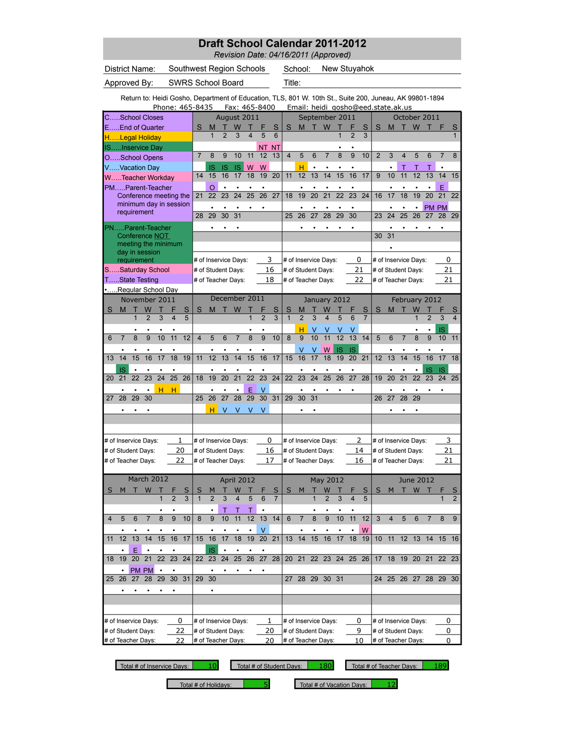*Revision Date: 04/16/2011 (Approved)*

|                |                           |                                                                                                         |                 |                 |                         |                 |                          |                      |                 |                 |                 |                           |                 |                    | $newsum$ $Pac. 9 + 10$ zo $1$ (Approved) |    |                         |                |                |                |                |                 |                    |                              |                 |                      |                 |
|----------------|---------------------------|---------------------------------------------------------------------------------------------------------|-----------------|-----------------|-------------------------|-----------------|--------------------------|----------------------|-----------------|-----------------|-----------------|---------------------------|-----------------|--------------------|------------------------------------------|----|-------------------------|----------------|----------------|----------------|----------------|-----------------|--------------------|------------------------------|-----------------|----------------------|-----------------|
|                |                           | District Name:                                                                                          |                 |                 |                         |                 | Southwest Region Schools |                      |                 |                 |                 |                           |                 |                    | School:                                  |    |                         | New Stuyahok   |                |                |                |                 |                    |                              |                 |                      |                 |
|                |                           | Approved By:                                                                                            |                 |                 |                         |                 | <b>SWRS School Board</b> |                      |                 |                 |                 |                           |                 | Title:             |                                          |    |                         |                |                |                |                |                 |                    |                              |                 |                      |                 |
|                |                           |                                                                                                         |                 |                 |                         |                 |                          |                      |                 |                 |                 |                           |                 |                    |                                          |    |                         |                |                |                |                |                 |                    |                              |                 |                      |                 |
|                |                           | Return to: Heidi Gosho, Department of Education, TLS, 801 W. 10th St., Suite 200, Juneau, AK 99801-1894 |                 |                 |                         |                 | Phone: 465-8435          |                      |                 | Fax: 465-8400   |                 |                           |                 |                    | Email: heidi_gosho@eed.state.ak.us       |    |                         |                |                |                |                |                 |                    |                              |                 |                      |                 |
|                |                           | CSchool Closes                                                                                          |                 |                 |                         |                 |                          |                      |                 | August 2011     |                 |                           |                 |                    |                                          |    |                         | September 2011 |                |                |                |                 |                    | October 2011                 |                 |                      |                 |
|                |                           | EEnd of Quarter                                                                                         |                 |                 |                         |                 | S                        | M                    |                 | W               |                 |                           | S               | S                  | M                                        |    | W                       |                |                | S              | S              | M               | т                  | W                            | т               | F                    | S               |
|                |                           | HLegal Holiday                                                                                          |                 |                 |                         |                 |                          | $\mathbf{1}$         | $\overline{2}$  | 3               | 4               | 5                         | 6               |                    |                                          |    |                         | 1              | $\overline{2}$ | 3              |                |                 |                    |                              |                 |                      |                 |
|                |                           | ISInservice Day                                                                                         |                 |                 |                         |                 |                          |                      |                 |                 |                 | ΝT                        | <b>NT</b>       |                    |                                          |    |                         |                |                |                |                |                 |                    |                              |                 |                      |                 |
|                |                           | OSchool Opens                                                                                           |                 |                 |                         |                 | $\overline{7}$           | 8                    | 9               | 10              | 11              | 12                        | 13              | $\overline{4}$     | 5                                        | 6  | $\overline{7}$          | 8              | 9              | 10             | $\overline{2}$ | 3               | $\overline{4}$     | 5                            | 6               | $\overline{7}$       | 8               |
|                |                           | VVacation Day                                                                                           |                 |                 |                         |                 | 14                       | IS<br>15             | IS<br>16        | IS<br>17        | W<br>18         | W<br>19                   | 20              | 11                 | н<br>12                                  | 13 | 14                      | 15             | 16             | 17             | 9              | 10              | Т<br>11            | Т<br>12                      | 13              | ٠<br>14              | 15              |
|                |                           | WTeacher Workday<br>PMParent-Teacher                                                                    |                 |                 |                         |                 |                          | O                    |                 |                 |                 |                           |                 |                    |                                          |    |                         |                |                |                |                |                 |                    |                              |                 | E                    |                 |
|                |                           | Conference meeting the                                                                                  |                 |                 |                         |                 | 21                       | 22                   | 23              | 24              | 25              | 26                        | 27              | 18                 | 19                                       | 20 | 21                      | 22             | 23             | 24             | 16             | 17              | 18                 | 19                           | $\overline{20}$ | $\overline{21}$      | 22              |
|                |                           | minimum day in session                                                                                  |                 |                 |                         |                 |                          |                      |                 |                 |                 |                           |                 |                    |                                          |    |                         |                |                |                |                |                 |                    |                              |                 | <b>PM PM</b>         |                 |
|                |                           | requirement                                                                                             |                 |                 |                         |                 | 28                       | 29                   | 30              | 31              |                 |                           |                 | 25                 | 26                                       | 27 | 28                      | 29             | 30             |                | 23             | 24              | 25                 | 26                           | 27              | 28                   | 29              |
|                |                           | PNParent-Teacher                                                                                        |                 |                 |                         |                 |                          |                      |                 |                 |                 |                           |                 |                    |                                          |    |                         |                |                |                |                |                 |                    |                              |                 |                      |                 |
|                |                           | Conference NOT                                                                                          |                 |                 |                         |                 |                          |                      |                 |                 |                 |                           |                 |                    |                                          |    |                         |                |                |                | 30             | 31              |                    |                              |                 |                      |                 |
|                |                           | meeting the minimum<br>day in session                                                                   |                 |                 |                         |                 |                          |                      |                 |                 |                 |                           |                 |                    |                                          |    |                         |                |                |                |                |                 |                    |                              |                 |                      |                 |
|                |                           | requirement                                                                                             |                 |                 |                         |                 |                          | # of Inservice Days: |                 |                 |                 |                           | 3               |                    | # of Inservice Days:                     |    |                         |                | 0              |                |                |                 |                    | # of Inservice Days:         |                 | 0                    |                 |
|                |                           | SSaturday School                                                                                        |                 |                 |                         |                 |                          | # of Student Days:   |                 |                 |                 |                           | 16              |                    | # of Student Days:                       |    |                         |                | 21             |                |                |                 |                    | # of Student Days:           |                 | 21                   |                 |
|                |                           | TState Testing                                                                                          |                 |                 |                         |                 |                          | # of Teacher Days:   |                 |                 |                 |                           | 18              |                    | # of Teacher Days:                       |    |                         |                |                | 22             |                |                 |                    | # of Teacher Days:           |                 | 21                   |                 |
|                |                           | .Regular School Day<br>November 2011                                                                    |                 |                 |                         |                 |                          |                      |                 | December 2011   |                 |                           |                 |                    |                                          |    |                         | January 2012   |                |                |                |                 |                    | February 2012                |                 |                      |                 |
| S              | M                         | т                                                                                                       | W               | т               |                         | S               | S                        | M                    |                 | W               |                 | F                         | S               | S                  | М                                        |    | W                       |                |                | S              | S              | M               |                    | W                            |                 | F                    | S               |
|                |                           |                                                                                                         | $\overline{2}$  | 3               | $\overline{\mathbf{4}}$ | 5               |                          |                      |                 |                 | $\overline{1}$  | $\overline{2}$            | 3               | $\overline{1}$     | $\overline{2}$                           | 3  | $\overline{\mathbf{4}}$ | 5              | 6              | $\overline{7}$ |                |                 |                    | 1                            | $\overline{2}$  | 3                    | 4               |
|                |                           |                                                                                                         |                 |                 |                         |                 |                          |                      |                 |                 |                 |                           |                 |                    | н                                        |    |                         |                |                |                |                |                 |                    |                              |                 | IS                   |                 |
| 6              | $\overline{7}$            | 8                                                                                                       | 9               | 10              | 11                      | 12              | $\overline{4}$           | 5                    | 6               | $\overline{7}$  | 8               | 9                         | 10              | 8                  | 9                                        | 10 | 11                      | 12             | 13             | 14             | 5              | 6               | $\overline{7}$     | 8                            | 9               | 10                   | 11              |
|                |                           |                                                                                                         |                 |                 |                         |                 |                          |                      |                 |                 |                 | ٠                         |                 |                    | ٧                                        |    | W                       | IS             | <b>IS</b>      |                |                |                 |                    |                              |                 |                      |                 |
| 13             | 14                        | $\overline{15}$                                                                                         | $\overline{16}$ | $\overline{17}$ | $\overline{18}$         | $\overline{19}$ | 11                       | $\overline{12}$      | $\overline{13}$ | $\overline{14}$ | $\overline{15}$ | $\overline{16}$           | $\overline{17}$ | 15                 | 16                                       | 17 | 18                      | 19             | 20             | 21             | 12             | $\overline{13}$ | $\overline{14}$    | 15                           | $\overline{16}$ | $\overline{17}$      | $\overline{18}$ |
| 20             | IS<br>21                  | 22                                                                                                      | $\bullet$<br>23 | 24              | 25                      | 26              | 18                       | 19                   | 20              | $\bullet$<br>21 | 22              | $\bullet$<br>23           | 24              | 22                 | 23                                       | 24 | ٠<br>25                 | 26             | 27             | 28             | 19             | 20              | 21                 | $\bullet$<br>$\overline{22}$ | IS<br>23        | <b>IS</b><br>24      | 25              |
|                |                           |                                                                                                         | $\bullet$       |                 |                         |                 |                          |                      |                 | $\bullet$       |                 |                           |                 |                    |                                          |    |                         |                |                |                |                |                 |                    |                              |                 |                      |                 |
| 27             | 28                        | 29                                                                                                      | 30              | н               | н                       |                 | 25                       | 26                   | 27              | 28              | E<br>29         | $\vee$<br>$\overline{30}$ | 31              | 29                 | 30                                       | 31 |                         |                |                |                | 26             | 27              | 28                 | 29                           |                 |                      |                 |
|                |                           |                                                                                                         |                 |                 |                         |                 |                          | н                    | V               | v               |                 | v                         |                 |                    |                                          |    |                         |                |                |                |                |                 |                    |                              |                 |                      |                 |
|                |                           |                                                                                                         |                 |                 |                         |                 |                          |                      |                 |                 |                 |                           |                 |                    |                                          |    |                         |                |                |                |                |                 |                    |                              |                 |                      |                 |
|                |                           |                                                                                                         |                 |                 |                         |                 |                          |                      |                 |                 |                 |                           |                 |                    |                                          |    |                         |                |                |                |                |                 |                    |                              |                 |                      |                 |
|                |                           | # of Inservice Days:                                                                                    |                 |                 |                         | 1               |                          | # of Inservice Days: |                 |                 |                 | 0                         |                 |                    | # of Inservice Days:                     |    |                         |                |                | 2              |                |                 |                    | # of Inservice Days:         |                 | 3                    |                 |
|                |                           | # of Student Days:                                                                                      |                 |                 |                         | 20              |                          | # of Student Days:   |                 |                 |                 |                           | 16              |                    | # of Student Days:                       |    |                         |                |                | 14             |                |                 |                    | # of Student Days:           |                 | 21                   |                 |
|                |                           | # of Teacher Days:                                                                                      |                 |                 |                         | 22              |                          | # of Teacher Days:   |                 |                 |                 |                           | 17              |                    | # of Teacher Days:                       |    |                         |                |                | 16             |                |                 |                    | # of Teacher Days:           |                 | 21                   |                 |
|                |                           | March 2012                                                                                              |                 |                 |                         |                 |                          |                      |                 | April 2012      |                 |                           |                 |                    |                                          |    | May 2012                |                |                |                |                |                 |                    | <b>June 2012</b>             |                 |                      |                 |
| S              | M                         | т                                                                                                       | W               | $\top$          |                         |                 | S                        | M                    | т               | W               | т               |                           | S               | s                  | M                                        | т  | W                       | т              |                | S              | S              | м               |                    | T W T                        |                 | ۴                    | S               |
|                |                           |                                                                                                         |                 | 1               | $\overline{2}$          | 3               | $\mathbf{1}$             | $\overline{2}$       | 3               |                 | 5               | 6                         | $\overline{7}$  |                    |                                          |    |                         | 3              |                | 5              |                |                 |                    |                              |                 | 1                    | $\overline{2}$  |
|                |                           |                                                                                                         |                 |                 |                         |                 |                          | $\bullet$            | Τ               | Τ               | Τ               |                           |                 |                    |                                          |    |                         |                |                |                |                |                 |                    |                              |                 |                      |                 |
| $\overline{4}$ | 5                         | $6\phantom{1}$                                                                                          | $\overline{7}$  | 8               | $\overline{9}$          | 10              | 8                        | $\overline{9}$       | 10              | $\overline{11}$ | $\overline{12}$ | $\overline{13}$           | 14              | $6\phantom{1}$     | $\overline{7}$                           | 8  | $\overline{9}$          | 10             | 11             | 12             | 3              | $\overline{4}$  | 5                  | $\overline{6}$               | $\overline{7}$  | 8                    | 9               |
|                |                           |                                                                                                         |                 |                 |                         |                 |                          |                      |                 |                 |                 | V                         |                 |                    |                                          |    |                         |                |                | W              |                |                 |                    |                              |                 |                      |                 |
| 11             | 12                        | 13                                                                                                      | 14              | 15              | 16                      | 17              | 15                       | 16                   | 17              | 18              | 19              | $\overline{20}$           | 21              | 13                 | 14                                       | 15 | 16                      | 17             | 18             | 19             | 10             | 11              | 12                 | 13                           | 14              | 15                   | - 16            |
| 18             | 19                        | Ε<br>20                                                                                                 | 21              | 22              | 23                      | 24              | 22                       | IS<br>23             | 24              | 25              | 26              | $\overline{27}$           | 28              | 20                 | 21                                       | 22 | 23                      | 24             | 25             | 26             | 17             | 18              | 19                 | 20                           | 21              | 22                   | 23              |
|                |                           |                                                                                                         |                 | $\bullet$       |                         |                 |                          |                      |                 |                 |                 |                           |                 |                    |                                          |    |                         |                |                |                |                |                 |                    |                              |                 |                      |                 |
| 25             | 26                        | 27                                                                                                      | PM PM<br>28     | 29              | 30 <sup>°</sup>         | 31              | 29                       | 30                   |                 |                 |                 |                           |                 |                    | 27 28 29 30 31                           |    |                         |                |                |                |                |                 |                    |                              |                 | 24 25 26 27 28 29 30 |                 |
|                |                           |                                                                                                         |                 |                 | ٠                       |                 |                          | ٠                    |                 |                 |                 |                           |                 |                    |                                          |    |                         |                |                |                |                |                 |                    |                              |                 |                      |                 |
|                |                           |                                                                                                         |                 |                 |                         |                 |                          |                      |                 |                 |                 |                           |                 |                    |                                          |    |                         |                |                |                |                |                 |                    |                              |                 |                      |                 |
|                |                           |                                                                                                         |                 |                 |                         |                 |                          |                      |                 |                 |                 |                           |                 |                    |                                          |    |                         |                |                |                |                |                 |                    |                              |                 |                      |                 |
|                | 0<br># of Inservice Days: |                                                                                                         |                 |                 |                         |                 |                          | # of Inservice Days: |                 |                 |                 |                           | 1               |                    | # of Inservice Days:                     |    |                         |                |                | 0              |                |                 |                    | # of Inservice Days:         |                 | 0                    |                 |
|                | 22<br># of Student Days:  |                                                                                                         |                 |                 |                         |                 |                          | # of Student Days:   |                 |                 |                 | 20                        |                 |                    | # of Student Days:                       |    |                         |                | 9              |                |                |                 |                    | # of Student Days:           |                 | 0                    |                 |
|                | 22<br># of Teacher Days:  |                                                                                                         |                 |                 |                         |                 | # of Teacher Days:       |                      |                 |                 |                 | 20                        |                 | # of Teacher Days: |                                          |    |                         |                | 10             |                |                |                 | # of Teacher Days: |                              | 0               |                      |                 |

Total # of Inservice Days: 10 Total # of Student Days: 180 Total # of Teacher Days: 189

Total # of Holidays:  $\begin{array}{|l|} 5 \end{array}$  Total # of Vacation Days: 12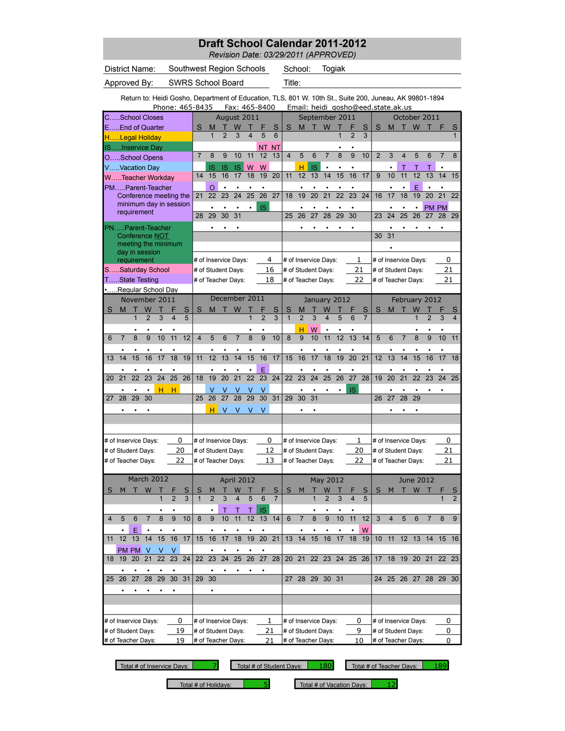*Revision Date: 03/29/2011 (APPROVED)*

| District Name:                    |                                                                                                         |                 |                              |                 |                          |                   |                 | Southwest Region Schools                   |                 |                 |                 |                         | School:             |                                            |                 | Togiak          |                     |                      |                |         |                 |                                            |                 |                      |                |
|-----------------------------------|---------------------------------------------------------------------------------------------------------|-----------------|------------------------------|-----------------|--------------------------|-------------------|-----------------|--------------------------------------------|-----------------|-----------------|-----------------|-------------------------|---------------------|--------------------------------------------|-----------------|-----------------|---------------------|----------------------|----------------|---------|-----------------|--------------------------------------------|-----------------|----------------------|----------------|
| Approved By:                      |                                                                                                         |                 |                              |                 | <b>SWRS School Board</b> |                   |                 |                                            |                 |                 |                 | Title:                  |                     |                                            |                 |                 |                     |                      |                |         |                 |                                            |                 |                      |                |
|                                   | Return to: Heidi Gosho, Department of Education, TLS, 801 W. 10th St., Suite 200, Juneau, AK 99801-1894 |                 |                              |                 |                          |                   |                 |                                            |                 |                 |                 |                         |                     |                                            |                 |                 |                     |                      |                |         |                 |                                            |                 |                      |                |
|                                   |                                                                                                         | Phone: 465-8435 |                              |                 |                          |                   |                 | Fax: 465-8400                              |                 |                 |                 |                         |                     | Email: heidi_gosho@eed.state.ak.us         |                 |                 |                     |                      |                |         |                 |                                            |                 |                      |                |
| CSchool Closes                    |                                                                                                         |                 |                              |                 |                          |                   |                 | August 2011                                |                 |                 |                 |                         |                     | September 2011                             |                 |                 |                     |                      |                |         |                 | October 2011                               |                 |                      |                |
| EEnd of Quarter<br>HLegal Holiday |                                                                                                         |                 |                              |                 | S                        | M<br>$\mathbf{1}$ | $\overline{2}$  | W<br>3                                     | Т<br>4          | F<br>5          | S<br>6          | S                       | M                   | т                                          | W               | 1               | F<br>$\overline{2}$ | S<br>3               | S              | M       | Т               | W                                          | т               | F                    |                |
| <b>ISInservice Day</b>            |                                                                                                         |                 |                              |                 |                          |                   |                 |                                            |                 | NT              | <b>NT</b>       |                         |                     |                                            |                 |                 |                     |                      |                |         |                 |                                            |                 |                      |                |
| OSchool Opens                     |                                                                                                         |                 |                              |                 | $\overline{7}$           | 8                 | 9               | 10                                         | 11              | 12              | 13              | $\overline{\mathbf{4}}$ | 5                   | 6                                          | $\overline{7}$  | 8               | 9                   | 10                   | $\overline{2}$ | 3       | $\overline{4}$  | 5                                          | 6               | $\overline{7}$       | 8              |
| VVacation Day                     |                                                                                                         |                 |                              |                 |                          | IS                | IS              | IS                                         | W               | W               |                 |                         | н                   | IS                                         | ٠               |                 |                     |                      |                |         |                 |                                            | т               |                      |                |
| WTeacher Workday                  |                                                                                                         |                 |                              |                 | 14                       | 15                | 16              | 17                                         | 18              | 19              | 20              | 11                      | 12                  | 13                                         | 14              | 15              | 16                  | 17                   | 9              | 10      | 11              | 12                                         | 13              | 14                   | 15             |
| PMParent-Teacher                  | Conference meeting the                                                                                  |                 |                              |                 | 21                       | O<br>22           | 23              | 24                                         | 25              | 26              | 27              | 18                      | 19                  | $\overline{20}$                            | $\overline{21}$ | 22              | 23                  | 24                   | 16             | ٠<br>17 | 18              | E<br>19                                    | $\overline{20}$ | $\overline{21}$      | 22             |
|                                   | minimum day in session                                                                                  |                 |                              |                 |                          |                   |                 |                                            |                 | <b>IS</b>       |                 |                         |                     |                                            |                 |                 |                     |                      |                |         |                 |                                            |                 | PM PM                |                |
|                                   | requirement                                                                                             |                 |                              |                 | 28                       | 29                | 30              | 31                                         |                 |                 |                 | 25                      | 26                  | 27                                         | 28              | 29              | 30                  |                      | 23             | 24      | 25              | 26                                         | 27              | 28                   | 29             |
| PNParent-Teacher                  |                                                                                                         |                 |                              |                 |                          |                   |                 |                                            |                 |                 |                 |                         |                     |                                            |                 |                 |                     |                      |                |         |                 |                                            |                 |                      |                |
|                                   | Conference NOT<br>meeting the minimum                                                                   |                 |                              |                 |                          |                   |                 |                                            |                 |                 |                 |                         |                     |                                            |                 |                 |                     |                      | 30             | 31      |                 |                                            |                 |                      |                |
|                                   | day in session                                                                                          |                 |                              |                 |                          |                   |                 |                                            |                 |                 | 4               |                         |                     |                                            |                 |                 |                     | 1                    |                |         |                 |                                            |                 | 0                    |                |
| SSaturday School                  | requirement                                                                                             |                 |                              |                 |                          |                   |                 | # of Inservice Days:<br># of Student Days: |                 |                 | 16              |                         |                     | # of Inservice Days:<br># of Student Days: |                 |                 |                     | 21                   |                |         |                 | # of Inservice Days:<br># of Student Days: |                 | 21                   |                |
| TState Testing                    |                                                                                                         |                 |                              |                 |                          |                   |                 | # of Teacher Days:                         |                 |                 | 18              |                         |                     | # of Teacher Days:                         |                 |                 |                     | 22                   |                |         |                 | # of Teacher Days:                         |                 | 21                   |                |
| Regular School Day                |                                                                                                         |                 |                              |                 |                          |                   |                 |                                            |                 |                 |                 |                         |                     |                                            |                 |                 |                     |                      |                |         |                 |                                            |                 |                      |                |
|                                   | November 2011                                                                                           |                 |                              |                 |                          |                   |                 | December 2011                              |                 |                 |                 |                         |                     | January 2012                               |                 |                 |                     |                      |                |         |                 | February 2012                              |                 |                      |                |
| S<br>M                            | W<br>$\overline{2}$<br>1                                                                                | 3               | F<br>$\overline{\mathbf{4}}$ | S<br>5          | S                        | M                 | П               | W                                          | 1               | $\overline{2}$  | S<br>3          | S<br>$\mathbf{1}$       | м<br>$\overline{2}$ | 3                                          | 4               | 5               | 6                   | S<br>7               | S              | М       |                 | W<br>1                                     | $\overline{2}$  | 3                    | 4              |
|                                   |                                                                                                         |                 |                              |                 |                          |                   |                 |                                            |                 |                 |                 |                         | н                   | W                                          |                 |                 |                     |                      |                |         |                 |                                            |                 |                      |                |
| $\overline{7}$<br>6               | 9<br>8                                                                                                  | 10              | 11                           | 12              | $\overline{4}$           | 5                 | 6               | $\overline{7}$                             | 8               | 9               | 10              | 8                       | 9                   | 10                                         | 11              | 12              | 13                  | 14                   | 5              | 6       | $\overline{7}$  | 8                                          | 9               | 10                   | 11             |
| 14<br>13                          | $\overline{16}$<br>15                                                                                   | 17              | 18                           | $\overline{19}$ | 11                       | 12                | $\overline{13}$ | 14                                         | $\overline{15}$ | $\overline{16}$ | 17              | 15                      | 16                  | 17                                         | $\overline{18}$ | $\overline{19}$ | $\overline{20}$     | $\overline{21}$      | 12             | 13      | 14              | $\overline{15}$                            | 16              | 17                   | 18             |
|                                   |                                                                                                         |                 | ٠                            |                 |                          |                   |                 |                                            |                 | E               |                 |                         |                     |                                            |                 |                 | $\bullet$           |                      |                |         |                 |                                            |                 |                      |                |
| 21<br>20                          | 22<br>23                                                                                                | 24              | 25                           | 26              | 18                       | 19                | 20              | 21                                         | $\overline{22}$ | 23              | 24              | 22                      | 23                  | 24                                         | $\overline{25}$ | 26              | 27                  | 28                   | 19             | 20      | $\overline{21}$ | 22                                         | 23              | 24                   | 25             |
|                                   |                                                                                                         | н               | н                            |                 |                          |                   |                 | V                                          | V               | V               |                 |                         |                     |                                            |                 |                 | IS                  |                      |                |         |                 |                                            |                 |                      |                |
| 28<br>27                          | 29<br>30                                                                                                |                 |                              |                 | 25                       | 26                | 27              | 28                                         | $\overline{29}$ | 30              | 31              | 29                      | 30                  | 31                                         |                 |                 |                     |                      | 26             | 27      | 28              | 29                                         |                 |                      |                |
|                                   |                                                                                                         |                 |                              |                 |                          | H.                | V               | V                                          | V               | V               |                 |                         |                     |                                            |                 |                 |                     |                      |                |         |                 |                                            |                 |                      |                |
|                                   |                                                                                                         |                 |                              |                 |                          |                   |                 |                                            |                 |                 |                 |                         |                     |                                            |                 |                 |                     |                      |                |         |                 |                                            |                 |                      |                |
| # of Inservice Days:              |                                                                                                         |                 |                              | 0               |                          |                   |                 | # of Inservice Days:                       |                 |                 | 0               |                         |                     | # of Inservice Days:                       |                 |                 |                     | 1                    |                |         |                 | # of Inservice Days:                       |                 | 0                    |                |
| # of Student Days:                |                                                                                                         |                 |                              | 20              |                          |                   |                 | # of Student Days:                         |                 |                 | 12              |                         |                     | # of Student Days:                         |                 |                 |                     | 20                   |                |         |                 | # of Student Days:                         |                 | 21                   |                |
| # of Teacher Days:                |                                                                                                         |                 |                              | 22              |                          |                   |                 | # of Teacher Days:                         |                 |                 | 13              |                         |                     | # of Teacher Days:                         |                 |                 |                     | 22                   |                |         |                 | # of Teacher Days:                         |                 | 21                   |                |
|                                   | March 2012                                                                                              |                 |                              |                 |                          |                   |                 | April 2012                                 |                 |                 |                 |                         |                     |                                            | May 2012        |                 |                     |                      |                |         |                 | <b>June 2012</b>                           |                 |                      |                |
| S<br>М                            | W<br>т                                                                                                  | Т               |                              | S               | S                        | M                 | т               | W                                          | $\mathbf{I}$    |                 | S               | S                       | M                   | т.                                         | W               | Τ               |                     | S                    | S              | M       |                 | T W T                                      |                 |                      | $\mathsf{S}$   |
|                                   |                                                                                                         | $\mathbf{1}$    | $\overline{2}$               | 3               | $\mathbf{1}$             | $\overline{2}$    | 3               | 4                                          | 5               | 6               | $\overline{7}$  |                         |                     | 1                                          | 2               | 3               | 4                   | 5                    |                |         |                 |                                            |                 | $\mathbf{1}$         | $\overline{2}$ |
|                                   |                                                                                                         |                 |                              |                 |                          | $\bullet$         | т               | Τ                                          | Τ               | IS              |                 |                         |                     |                                            |                 |                 |                     |                      |                |         |                 |                                            |                 |                      |                |
| 5<br>4                            | $6\phantom{1}$<br>$\overline{7}$                                                                        | $\overline{8}$  | 9                            | 10              | 8                        | 9                 | 10              | 11                                         | $\overline{12}$ | 13              | 14              | 6                       | $\overline{7}$      | 8                                          | 9               | 10              | 11                  | 12                   | 3              | 4       | 5               | 6                                          | 7               | 8                    | 9              |
| $12$ 13<br>11                     | Ε<br>$\bullet$<br>14                                                                                    | ٠<br>15         | ٠<br>16                      | 17              | 15                       | ٠<br>16           | 17              | 18                                         | $\bullet$<br>19 | 20              | $\overline{21}$ |                         | 13 14               | 15                                         | 16              | 17              | $\bullet$<br>18     | W<br>$\overline{19}$ |                | $10$ 11 |                 |                                            |                 | 12 13 14 15 16       |                |
| PM PM V                           |                                                                                                         | V               | V                            |                 |                          |                   |                 |                                            |                 |                 |                 |                         |                     |                                            |                 |                 |                     |                      |                |         |                 |                                            |                 |                      |                |
| 18 19                             | 20<br>21                                                                                                | 22              | 23                           | 24              | 22                       | 23                | 24              | 25                                         | $\overline{26}$ | 27              | 28              |                         | 20 21               |                                            | 22 23 24 25 26  |                 |                     |                      | 17             | 18      |                 | 19 20 21                                   |                 | 22 23                |                |
|                                   |                                                                                                         |                 |                              |                 |                          |                   |                 |                                            |                 |                 |                 |                         |                     |                                            |                 |                 |                     |                      |                |         |                 |                                            |                 |                      |                |
| 25<br>26                          | 27<br>28                                                                                                | 29              | 30                           | 31              | 29                       | 30                |                 |                                            |                 |                 |                 |                         |                     | 27 28 29 30 31                             |                 |                 |                     |                      |                |         |                 |                                            |                 | 24 25 26 27 28 29 30 |                |
| $\bullet$                         | $\bullet$                                                                                               |                 | $\bullet$                    |                 |                          | $\bullet$         |                 |                                            |                 |                 |                 |                         |                     |                                            |                 |                 |                     |                      |                |         |                 |                                            |                 |                      |                |
|                                   |                                                                                                         |                 |                              |                 |                          |                   |                 |                                            |                 |                 |                 |                         |                     |                                            |                 |                 |                     |                      |                |         |                 |                                            |                 |                      |                |
| # of Inservice Days:              |                                                                                                         |                 |                              | 0               |                          |                   |                 | # of Inservice Days:                       |                 |                 | 1               |                         |                     | # of Inservice Days:                       |                 |                 |                     | 0                    |                |         |                 | # of Inservice Days:                       |                 | 0                    |                |
|                                   | 19<br># of Student Days:                                                                                |                 |                              |                 |                          |                   |                 | # of Student Days:                         |                 |                 | 21              |                         |                     | # of Student Days:                         |                 |                 |                     | 9                    |                |         |                 | # of Student Days:                         |                 | 0                    |                |

# of Student Days: 19 |# of Student Days: 21 |# of Student Days: 9 |# of Student Days: # of Teacher Days:  $\overline{19}$  # of Teacher Days:  $\overline{21}$  # of Teacher Days:  $\overline{10}$  # of Teacher Days:

19 |# of Teacher Days: 21 |# of Teacher Days: 10

Total # of Inservice Days: 7 Total # of Student Days: 180 Total # of Teacher Days: 189

0

Total # of Holidays:  $\begin{array}{|c|c|c|c|c|}\n\hline\n5&\text{Total # of vacation Days} & 12\n\end{array}$